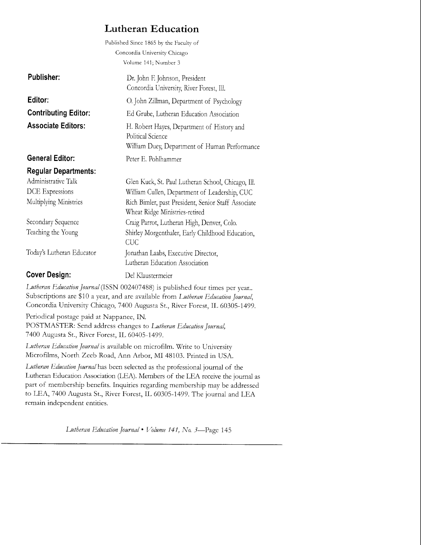## **Lutheran Education**

|                             | Published Since 1865 by the Faculty of                                                                           |
|-----------------------------|------------------------------------------------------------------------------------------------------------------|
|                             | Concordia University Chicago                                                                                     |
|                             | Volume 141; Number 3                                                                                             |
| <b>Publisher:</b>           | Dr. John F. Johnson, President<br>Concordia University, River Forest, Ill.                                       |
| Editor:                     | O. John Zillman, Department of Psychology                                                                        |
| <b>Contributing Editor:</b> | Ed Grube, Lutheran Education Association                                                                         |
| <b>Associate Editors:</b>   | H. Robert Hayes, Department of History and<br>Political Science<br>William Duey, Department of Human Performance |
| <b>General Editor:</b>      | Peter E. Pohlhammer                                                                                              |
| <b>Regular Departments:</b> |                                                                                                                  |
| Administrative Talk         | Glen Kuck, St. Paul Lutheran School, Chicago, Ill.                                                               |
| DCE Expressions             | William Cullen, Department of Leadership, CUC                                                                    |
| Multiplying Ministries      | Rich Bimler, past President, Senior Staff Associate<br>Wheat Ridge Ministries-retired                            |
| Secondary Sequence          | Craig Parrot, Lutheran High, Denver, Colo.                                                                       |
| Teaching the Young          | Shirley Morgenthaler, Early Childhood Education,<br><b>CUC</b>                                                   |
| Today's Lutheran Educator   | Jonathan Laabs, Executive Director,<br>Lutheran Education Association                                            |
| <b>Cover Design:</b>        | Del Klaustermeier                                                                                                |

*Lutheran Education Journal* (ISSN 002407488) is published four times per year.. Subscriptions are \$10 a year, and are available from *Lutheran Education Journal,*  Concordia University Chicago, 7400 Augusta St., River Forest, IL 60305-1499.

Periodical postage paid at Nappanee, IN.

POSTMASTER: Send address changes to *Lutheran Education Journal*, 7400 Augusta St., River Forest, IL 60405-1499.

Lutheran *Education Journal* is available on microfilm. Write to University Microftlms, North Zeeb Road, Ann Arbor, MI 48103. Printed in USA.

*Lutheran Education Journal* has been selected as the professional journal of the Lutheran Education Association (LEA). Members of the LEA receive the journal as part of membership benefits. Inquiries regarding membership may be addressed to LEA, 7400 Augusta St., River Forest, IL 60305-1499. The journal and LEA remain independent entities.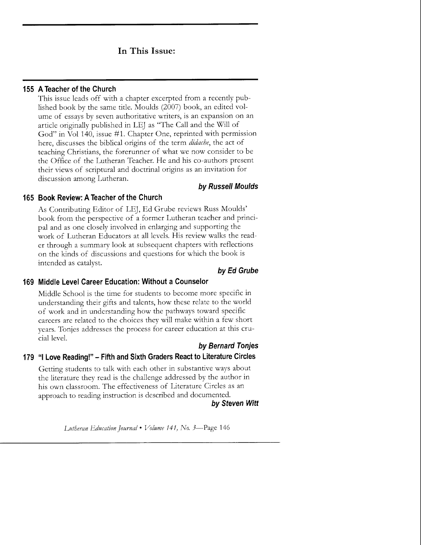**In This Issue:** 

#### **155 A Teacher of the Church**

This issue leads off with a chapter excerpted from a recently published book by the same title. Moulds (2007) book, an edited volume of essays by seven authoritative writers, is an expansion on an article originally published in LEJ as "The Call and the Will of God" in Vol 140, issue #1. Chapter One, reprinted with permission here, discusses the biblical origins of the term *didache*, the act of teaching Christians, the forerunner of what we now consider to be the Office of the Lutheran Teacher. He and his co-authors present their views of scriptural and doctrinal origins as an invitation for discussion among Lutheran.

#### **by Russell Moulds**

#### **165 Book Review: A Teacher of the Church**

As Contributing Editor of LEJ, Ed Grube reviews Russ Moulds' book from the perspective of a former Lutheran teacher and principal and as one closely involved in enlarging and supporting the work of Lutheran Educators at all levels. His review walks the reader through a summary look at subsequent chapters with reflections on the kinds of discussions and questions for which the book is intended as catalyst.

#### by Ed Grube

**by Bernard Tonjes** 

#### **169 Middle Level Career Education: Without a Counselor**

Middle School is the time for students to become more specific in understanding their gifts and talents, how these relate to the world of work and in understanding how the pathways toward specific careers are related to the choices they will make within a few short years. Tonjes addresses the process for career education at this crucial level.

### **179 "I Love Reading!" - Fifth and Sixth Graders React to Literature Circles**

Getting students to talk with each other in substantive ways about the literature they read is the challenge addressed by the author in his own classroom. The effectiveness of Literature Circles as an approach to reading instruction is described and documented. **by Steven Witt**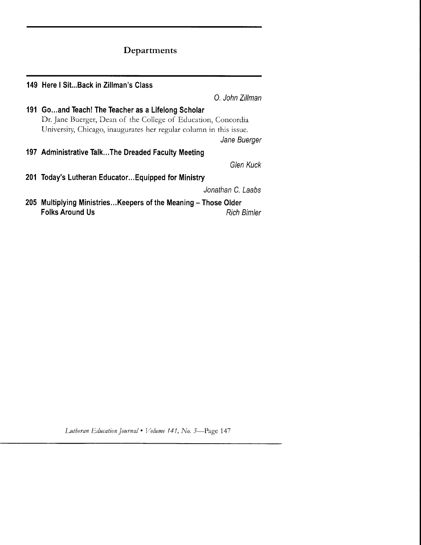#### **Departments**

#### 149 Here I Sit...Back in Zillman's Class

o. John Zillman

#### 191 Go... and Teach! The Teacher as a Lifelong Scholar Dr. Jane Buerger, Dean of the College of Education, Concordia University, Chicago, inaugurates her regular column in this issue. Jane Buerger

#### **197 Administrative Talk ... The Dreaded Faculty Meeting**

Glen Kuck

#### **201 Today's Lutheran Educator ... Equipped for Ministry**

Jonathan C. Laabs

**205 Multiplying Ministries ..**. Keepers **of the Meaning - Those Older Folks Around Us** *Rich Bimler*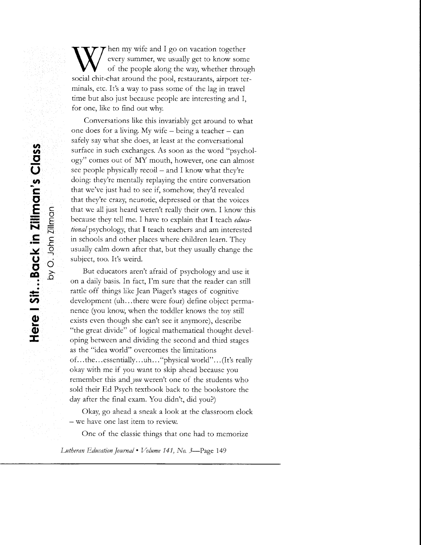W hen my wife and I go on vacation together<br>every summer, we usually get to know some<br>of the people along the way whether throu every summer, we usually get to know some of the people along the way, whether through social chit-chat around the pool, restaurants, airport terminals, etc. It's a way to pass some of the lag in travel time but also just because people are interesting and I, for one, like to find out why.

Conversations like this invariably get around to what one does for a living. My wife  $-$  being a teacher  $-$  can safely say what she does, at least at the conversational surface in such exchanges. As soon as the word "psychology" comes out of MY mouth, however, one can almost see people physically  $recoil - and I$  know what they're doing: they're mentally replaying the entire conversation that we've just had to see if, somehow, they'd revealed that they're crazy, neurotic, depressed or that the voices that we all just heard weren't really their own. I know this because they tell me. I have to explain that I teach *educational* psychology, that I teach teachers and am interested in schools and other places where children learn. They usually calm down after that, but they usually change the subject, too. It's weird.

But educators aren't afraid of psychology and use it on a daily basis. In fact, I'm sure that the reader can still rattle off things like Jean Piaget's stages of cognitive development (uh...there were four) define object permanence (you know, when the toddler knows the toy still exists even though she can't see it anymore), describe "the great divide" of logical mathematical thought developing between and dividing the second and third stages as the "idea world" overcomes the limitations of ... the ... essentially ... uh ... "physical world" ... (It's really okay with me if you want to skip ahead because you remember this and *you* weren't one of the students who sold their Ed Psych textbook back to the bookstore the day after the final exam. You didn't, did you?)

Okay, go ahead a sneak a look at the classroom clock - we have one last item to review.

One of the classic things that one had to memorize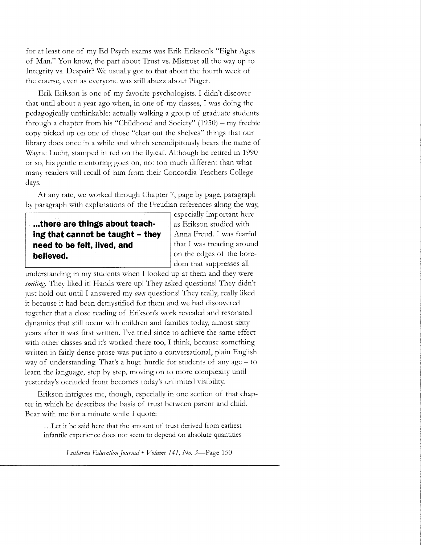for at least one of my Ed Psych exams was Erik Erikson's "Eight Ages of Man." You know, the part about Trust vs. Mistrust all the way up to Integrity vs. Despair? We usually got to that about the fourth week of the course, even as everyone was still abuzz about Piaget.

Erik Erikson is one of my favorite psychologists. I didn't discover that until about a year ago when, in one of my classes, I was doing the pedagogically unthinkable: actually walking a group of graduate students through a chapter from his "Childhood and Society" (1950) - my freebie copy picked up on one of those "clear out the shelves" things that our library does once in a while and which serendipitously bears the name of Wayne Lucht, stamped in red on the flyleaf. Although he retired in 1990 or so, his gentle mentoring goes on, not too much different than what many readers will recall of him from their Concordia Teachers College days.

At any rate, we worked through Chapter 7, page by page, paragraph by paragraph with explanations of the Freudian references along the way,

## ...there are things about teaching that cannot be taught - they need to be felt, lived, and believed.

especially important here as Erikson studied with Anna Freud. I was fearful that I was treading around on the edges of the bore dom that suppresses all

understanding in my students when I looked up at them and they were *smiling.* They liked it! Hands were up! They asked questions! They didn't just hold out until I answered my *own* questions! They really, really liked it because it had been demystified for them and we had discovered together that a close reading of Erikson's work revealed and resonated dynamics that still occur with children and families today, almost sixty years after it was first written. I've tried since to achieve the same effect with other classes and it's worked there too, I think, because something written in fairly dense prose was put into a conversational, plain English way of understanding. That's a huge hurdle for students of any age - to learn the language, step by step, moving on to more complexity until yesterday's occluded front becomes today's unlimited visibility.

Erikson intrigues me, though, especially in one section of that chapter in which he describes the basis of trust between parent and child. Bear with me for a minute while I quote:

... Let it be said here that the amount of trust derived from earliest infantile experience does not seem to depend on absolute quantities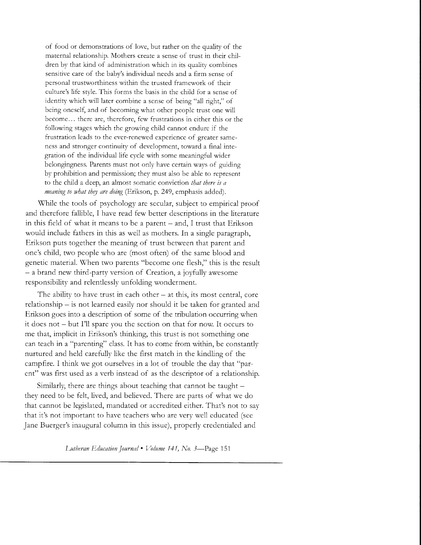of food or demonstrations of love, but rather on the quality of the maternal relationship. Mothers create a sense of trust in their children by that kind of administration which in its quality combines sensitive care of the baby's individual needs and a firm sense of personal trustworthiness within the trusted framework of their culture's life style. This forms the basis in the child for a sense of identity which will later combine a sense of being "all right," of being oneself, and of becoming what other people trust one will become ... there are, therefore, few frustrations in either this or the following stages which the growing child cannot endure if the frustration leads to the ever-renewed experience of greater sameness and stronger continuity of development, toward a final integration of the individual life cycle with some meaningful wider belongingness. Parents must not only have certain ways of guiding by prohibition and permission; they must also be able to represent to the child a deep, an almost somatic conviction *that there is a meaning to what they are doing* (Erikson, p. 249, emphasis added).

While the tools of psychology are secular, subject to empirical proof and therefore fallible, I have read few better descriptions in the literature in this field of what it means to be a parent - and, I trust that Erikson would include fathers in this as well as mothers. In a single paragraph, Erikson puts together the meaning of trust between that parent and one's child, two people who are (most often) of the same blood and genetic material. When two parents "become one flesh," this is the result - a brand new third-party version of Creation, a joyfully awesome responsibility and relentlessly unfolding wonderment.

The ability to have trust in each other  $-$  at this, its most central, core relationship – is not learned easily nor should it be taken for granted and Erikson goes into a description of some of the tribulation occurring when it does not - but I'll spare you the section on that for now. It occurs to me that, implicit in Erikson's thinking, this trust is not something one can teach in a "parenting" class. It has to come from within, be constantly nurtured and held carefully like the first match in the kindling of the campfire. I think we got ourselves in a lot of trouble the day that "parent" was first used as a verb instead of as the descriptor of a relationship.

Similarly, there are things about teaching that cannot be taught  $$ they need to be felt, lived, and believed. There are parts of what we do that cannot be legislated, mandated or accredited either. That's not to say that it's not important to have teachers who are very well educated (see Jane Buerger's inaugural column in this issue), properly credentialed and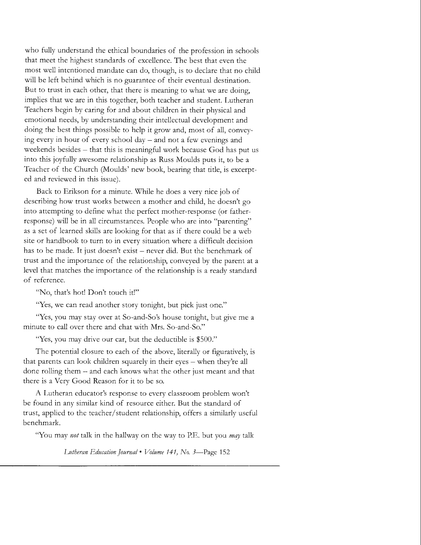who fully understand the ethical boundaries of the profession in schools that meet the highest standards of excellence. The best that even the most well intentioned mandate can do, though, is to declare that no child will be left behind which is no guarantee of their eventual destination. But to trust in each other, that there is meaning to what we are doing, implies that we are in this together, both teacher and student. Lutheran Teachers begin by caring for and about children in their physical and emotional needs, by understanding their intellectual development and doing the best things possible to help it grow and, most of all, conveying every in hour of every school day - and not a few evenings and weekends besides - that this is meaningful work because God has put us into this joyfully awesome relationship as Russ Moulds puts it, to be a Teacher of the Church (Moulds' new book, bearing that tide, is excerpted and reviewed in this issue).

Back to Erikson for a minute. While he does a very nice job of describing how trust works between a mother and child, he doesn't go into attempting to define what the perfect mother-response (or fatherresponse) will be in all circumstances. People who are into "parenting" as a set of learned skills are looking for that as if there could be a web site or handbook to turn to in every situation where a difficult decision has to be made. It just doesn't exist – never did. But the benchmark of trust and the importance of the relationship, conveyed by the parent at a level that matches the importance of the relationship is a ready standard of reference.

"No, that's hot! Don't touch it!"

"Yes, we can read another story tonight, but pick just one."

''Yes, you may stay over at So-and-So's house tonight, but give me a minute to call over there and chat with Mrs. So-and-So."

''Yes, you may drive our car, but the deductible is \$500."

The potential closure to each of the above, literally or figuratively, is that parents can look children squarely in their eyes - when they're all done rolling them - and each knows what the other just meant and that there is a Very Good Reason for it to be so.

A Lutheran educator's response to every classroom problem won't be found in any similar kind of resource either. But the standard of trust, applied to the teacher/ student relationship, offers a similarly useful benchmark.

"You may *not* talk in the hallway on the way to P.E. but you *may* talk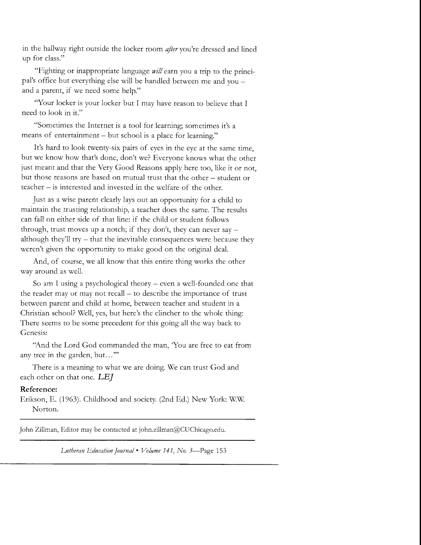in the hallway right outside the locker room *qfter* you're dressed and lined up for class."

"Fighting or inappropriate language *will* earn you a trip to the principal's office but everything else will be handled between me and you  $$ and a parent, if we need some help."

"Your locker is your locker but I may have reason to believe that I need to look in it."

"Sometimes the Internet is a tool for learning; sometimes it's a means of entertainment - but school is a place for learning."

It's hard to look twenty-six pairs of eyes in the eye at the same time, but we know how that's done, don't we? Everyone knows what the other just meant and that the Very Good Reasons apply here too, like it or not, but those reasons are based on mutual trust that the other - student or teacher - is interested and invested in the welfare of the other.

Just as a wise parent clearly lays *out* an opportunity for a child to maintain the trusting relationship, a teacher does the same. The results can fall on either side of that line: if the child or student follows through, trust moves up a notch; if they don't, they can never say  $$ although they'll try  $-$  that the inevitable consequences were because they weren't given the opportunity to make good on the original deal.

And, of course, we all know that this entire thing works the other way around as well.

So am I using a psychological theory  $-$  even a well-founded one that the reader may or may not recall – to describe the importance of trust between parent and child at home, between teacher and student in a Christian school? Well, yes, but here's the clincher to the whole thing: There seems to be some precedent for this going all the way back to Genesis:

''And the Lord God commanded the man, 'You are free to eat from any tree in the garden, but..."

There is a meaning to what we are doing. We can trust God and each other on that one. *LEJ* 

#### **Reference:**

Erikson, E. (1963). Childhood and society. (2nd Ed.) New York: WW Norton.

John Zillman, Editor may be contacted at john.zillman@CUChicago.edu.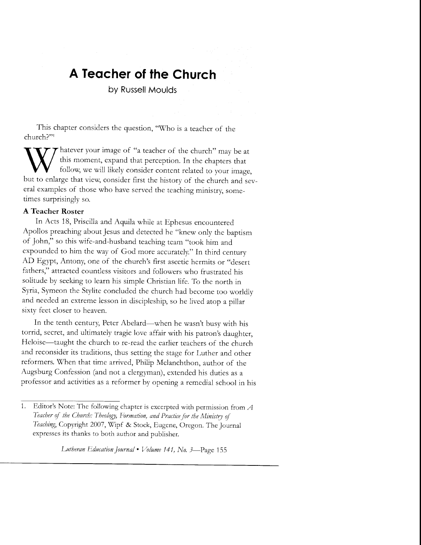# A Teacher of the Church

by Russell Moulds

This chapter considers the question, "Who is a teacher of the

church?"<br>
Whatever your image of "a teacher of the church" may be at this moment, expand that perception. In the chapters that follow, we will likely consider content related to your image, but to enlarge that view, consider first the history of the church and several examples of those who have served the teaching ministry, sometimes surprisingly so.

#### **A Teacher Roster**

**In** Acts 18, Priscilla and Aquila while at Ephesus encountered Apollos preaching about Jesus and detected he "knew only the baptism of John," so this wife-and-husband teaching team "took him and expounded to him the way of God more accurately." **In** third century AD Egypt, Antony, one of the church's first ascetic hermits or "desert fathers," attracted countless visitors and followers who frustrated his solitude by seeking to learn his simple Christian life. To the north in Syria, Symeon the Stylite concluded the church had become too worldly and needed an extreme lesson in discipleship, so he lived atop a pillar sixty feet closer to heaven.

In the tenth century, Peter Abelard-when he wasn't busy with his torrid, secret, and ultimately tragic love affair with his patron's daughter, Heloise-taught the church to re-read the earlier teachers of the church and reconsider its traditions, thus setting the stage for Luther and other reformers. When that time arrived, Philip Melanchthon, author of the Augsburg Confession (and not a clergyman), extended his duties as a professor and activities as a reformer by opening a remedial school in his

<sup>1.</sup> Editor's Note: The following chapter is excerpted with permission from  $A$ *Teacher* of *the Church: Theology} Formation} and Practice for the Ministry* of *Teaching,* Copyright 2007, Wipf & Stock, Eugene, Oregon. The Journal expresses its thanks to both author and publisher.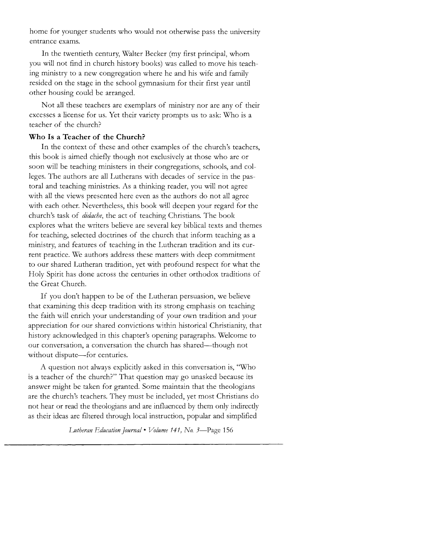home for younger students who would not otherwise pass the university entrance exams.

In the twentieth century, Walter Becker (my first principal, whom you will not find in church history books) was called to move his teaching ministry to a new congregation where he and his wife and family resided on the stage in the school gymnasium for their first year until other housing could be arranged.

Not all these teachers are exemplars of ministry nor are any of their excesses a license for us. Yet their variety prompts us to ask: Who is a teacher of the church?

#### **Who Is a Teacher of the Church?**

In the context of these and other examples of the church's teachers, this book is aimed chiefly though not exclusively at those who are or soon will be teaching ministers in their congregations, schools, and colleges. The authors are all Lutherans with decades of service in the pastoral and teaching ministries. As a thinking reader, you will not agree with all the views presented here even as the authors do not all agree with each other. Nevertheless, this book will deepen your regard for the church's task of *didache,* the act of teaching Christians. The book explores what the writers believe are several key biblical texts and themes for teaching, selected doctrines of the church that inform teaching as a ministry, and features of teaching in the Lutheran tradition and its current practice. We authors address these matters with deep commitment to our shared Lutheran tradition, yet with profound respect for what the Holy Spirit has done across the centuries in other orthodox traditions of the Great Church.

If you don't happen to be of the Lutheran persuasion, we believe that examining this deep tradition with its strong emphasis on teaching the faith will enrich your understanding of your own tradition and your appreciation for our shared convictions within historical Christianity, that history acknowledged in this chapter's opening paragraphs. Welcome to our conversation, a conversation the church has shared-though not without dispute-for centuries.

A question not always explicitly asked in this conversation is, ''Who is a teacher of the church?" That question may go unasked because its answer might be taken for granted. Some maintain that the theologians are the church's teachers. They must be included, yet most Christians do not hear or read the theologians and are influenced by them only indirectly as their ideas are filtered through local instruction, popular and simplified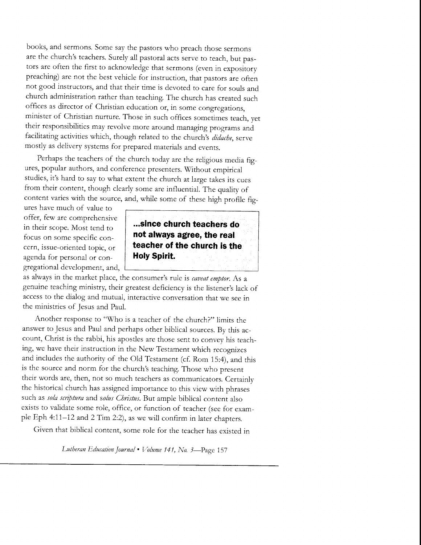books, and sermons. Some say the pastors who preach those sermons are the church's teachers. Surely all pastoral acts serve to teach, but pastors are often the first to acknowledge that sermons (even in expository preaching) are not the best vehicle for instruction, that pastors are often not good instructors, and that their time is devoted to care for souls and church administration rather than teaching. The church has created such offices as director of Christian education or, in some congregations, minister of Christian nurture. Those in such offices sometimes teach, yet their responsibilities may revolve more around managing programs and facilitating activities which, though related to the church's *didache,* serve mosdy as delivery systems for prepared materials and events.

Perhaps the teachers of the church today are the religious media figures, popular authors, and conference presenters. Without empirical studies, it's hard to say to what extent the church at large takes its cues from their content, though clearly some are influential. The quality of content varies with the source, and, while some of these high profile fig-

ures have much of value to offer, few are comprehensive in their scope. Most tend to focus on some specific concern, issue-oriented topic, or agenda for personal or congregational development, and,



as always in the market place, the consumer's rule is *caveat emptor.* As a genuine teaching ministry, their greatest deficiency is the listener's lack of access to the dialog and mutual, interactive conversation that we see in the ministries of Jesus and Paul.

Another response to "Who is a teacher of the church?" limits the answer to Jesus and Paul and perhaps other biblical sources. By this account, Christ is the rabbi, his aposdes are those sent to convey his teaching, we have their instruction in the New Testament which recognizes and includes the authority of the Old Testament (cf. Rom 15:4), and this is the source and norm for the church's teaching. Those who present their words are, then, not so much teachers as communicators. Certainly the historical church has assigned importance to this view with phrases such as *sola scriptura* and *solus Christus.* But ample biblical content also exists to validate some role, office, or function of teacher (see for example Eph 4:11-12 and 2 Tim 2:2), as we will confirm in later chapters.

Given that biblical content, some role for the teacher has existed in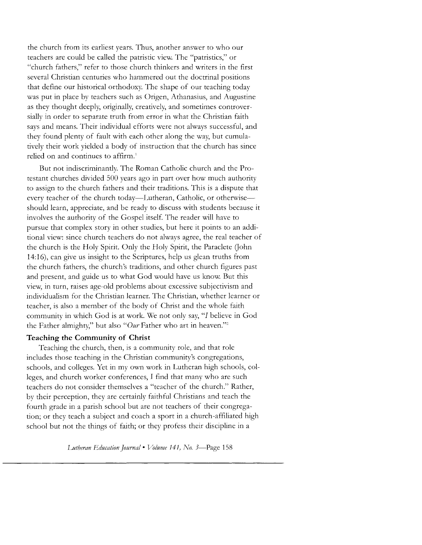the church from its earliest years. Thus, another answer to who our teachers are could be called the patristic view. The "patristics," or "church fathers," refer to those church thinkers and writers in the first several Christian centuries who hammered out the doctrinal positions that define our historical orthodoxy. The shape of our teaching today was put in place by teachers such as Origen, Athanasius, and Augustine as they thought deeply, originally, creatively, and sometimes controversially in order to separate truth from error in what the Christian faith says and means. Their individual efforts were not always successful, and they found plenty of fault with each other along the way, but cumulatively their work yielded a body of instruction that the church has since relied on and continues to affirm.<sup>1</sup>

But not indiscriminantly. The Roman Catholic church and the Protestant churches divided 500 years ago in part over how much authority to assign to the church fathers and their traditions. This is a dispute that every teacher of the church today-Lutheran, Catholic, or otherwise-should learn, appreciate, and be ready to discuss with students because it involves the authority of the Gospel itself. The reader will have to pursue that complex story in other studies, but here it points to an additional view: since church teachers do not always agree, the real teacher of the church is the Holy Spirit. Only the Holy Spirit, the Paraclete (John 14:16), can give us insight to the Scriptures, help us glean truths from the church fathers, the church's traditions, and other church figures past and present, and guide us to what God would have us know. But this view, in turn, raises age-old problems about excessive subjectivism and individualism for the Christian learner. The Christian, whether learner or teacher, is also a member of the body of Christ and the whole faith community in which God is at work. We not only say, "I believe in God the Father almighty," but also *"Our* Father who art in heaven."2

#### **Teaching the Community of Christ**

Teaching the church, then, is a community role, and that role includes those teaching in the Christian community's congregations, schools, and colleges. Yet in my own work in Lutheran high schools, colleges, and church worker conferences, I find that many who are such teachers do not consider themselves a "teacher of the church." Rather, by their perception, they are certainly faithful Christians and teach the fourth grade in a parish school but are not teachers of their congregation; or they teach a subject and coach a sport in a church-affiliated high school but not the things of faith; or they profess their discipline in a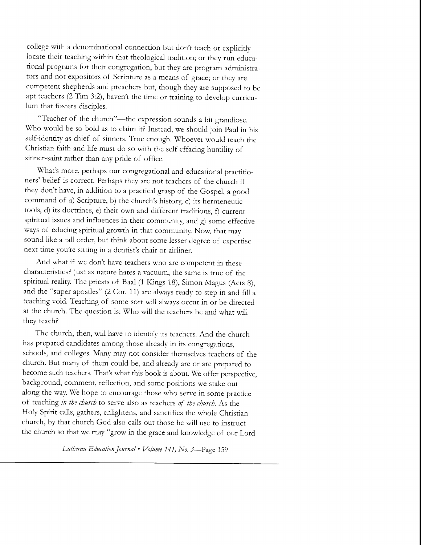college with a denominational connection but don't teach or explicitly locate their teaching within that theological tradition; or they run educational programs for their congregation, but they are program administrators and not expositors of Scripture as a means of grace; or they are competent shepherds and preachers but, though they are supposed to be apt teachers (2 Tim 3:2), haven't the time or training to develop curriculum that fosters disciples.

"Teacher of the church"-the expression sounds a bit grandiose. Who would be so bold as to claim it? Instead, we should join Paul in his self-identity as chief of sinners. True enough. Whoever would teach the Christian faith and life must do so with the self-effacing humility of sinner-saint rather than any pride of office.

What's more, perhaps our congregational and educational practitioners' belief is correct. Perhaps they are not teachers of the church if they don't have, in addition to a practical grasp of the Gospel, a good command of a) Scripture, b) the church's history, c) its hermeneutic tools, d) its doctrines, e) their own and different traditions, f) current spiritual issues and influences in their community, and g) some effective ways of educing spiritual growth in that community. Now, that may sound like a tall order, but think about some lesser degree of expertise next time you're sitting in a dentist's chair or airliner.

And what if we don't have teachers who are competent in these characteristics? Just as nature hates a vacuum, the same is true of the spiritual reality. The priests of Baal (1 Kings 18), Simon Magus (Acts 8), and the "super apostles" (2 Cor. **11)** are always ready to step in and fill a teaching void. Teaching of some sort will always occur in or be directed at the church. The question is: Who will the teachers be and what will they teach?

The church, then, will have to identify its teachers. And the church has prepared candidates among those already in its congregations, schools, and colleges. Many may not consider themselves teachers of the church. But many of them could be, and already are or are prepared to become such teachers. That's what this book is about. We offer perspective, background, comment, reflection, and some positions we stake out along the way. We hope to encourage those who serve in some practice of teaching *in the church* to serve also as teachers *if the church.* As the Holy Spirit calls, gathers, enlightens, and sanctifies the whole Christian church, by that church God also calls out those he will use to instruct the church so that we may "grow in the grace and knowledge of our Lord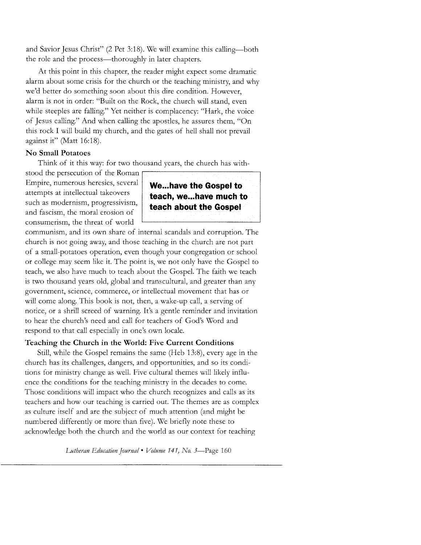and Savior Jesus Christ" (2 Pet 3:18). We will examine this calling-both the role and the process-thoroughly in later chapters.

At this point in this chapter, the reader might expect some dramatic alarm about some crisis for the church or the teaching ministry, and why we'd better do something soon about this dire condition. However, alarm is not in order: "Built on the Rock, the church will stand, even while steeples are falling." Yet neither is complacency: "Hark, the voice of Jesus calling." And when calling the aposdes, he assures them, "On this rock I will build my church, and the gates of hell shall not prevail against it" (Matt 16:18).

#### **No Small Potatoes**

Think of it this way: for two thousand years, the church has with-

stood the persecution of the Roman Empire, numerous heresies, several attempts at intellectual takeovers such as modernism, progressivism, and fascism, the moral erosion of consumerism, the threat of world

We...have the Gospel to teach, we...have much to teach about the Gospel

communism, and its own share of internal scandals and corruption. The church is not going away, and those teaching in the church are not part of a small-potatoes operation, even though your congregation or school or college may seem like it. The point is, we not only have the Gospel to teach, we also have much to teach about the Gospel. The faith we teach is two thousand years old, global and transcultural, and greater than any government, science, commerce, or intellectual movement that has or will come along. This book is not, then, a wake-up call, a serving of notice, or a shrill screed of warning. It's a gentle reminder and invitation to hear the church's need and call for teachers of God's Word and respond to that call especially in one's own locale.

#### **Teaching the Church in the World: Five Current Conditions**

Still, while the Gospel remains the same (Heb 13:8), every age in the church has its challenges, dangers, and opportunities, and so its conditions for ministry change as well. Five cultural themes will likely influence the conditions for the teaching ministry in the decades to come. Those conditions will impact who the church recognizes and calls as its teachers and how our teaching is carried out. The themes are as complex as culture itself and are the subject of much attention (and might be numbered differendy or more than five). We briefly note these to acknowledge both the church and the world as our context for teaching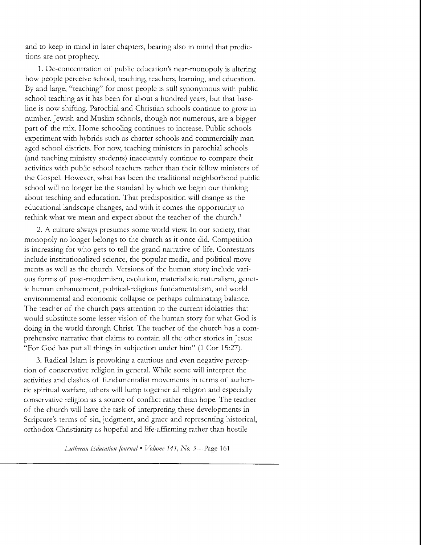and to keep in mind in later chapters, bearing also in mind that predictions are not prophecy.

1. De-concentration of public education's near-monopoly is altering how people perceive school, teaching, teachers, learning, and education. By and large, "teaching" for most people is still synonymous with public school teaching as it has been for about a hundred years, but that baseline is now shifting. Parochial and Christian schools continue to grow in number. Jewish and Muslim schools, though not numerous, are a bigger part of the mix. Home schooling continues to increase. Public schools experiment with hybrids such as charter schools and commercially managed school districts. For now, teaching ministers in parochial schools (and teaching ministry students) inaccurately continue to compare their activities with public school teachers rather than their fellow ministers of the Gospel. However, what has been the traditional neighborhood public school will no longer be the standard by which we begin our thinking about teaching and education. That predisposition will change as the educational landscape changes, and with it comes the opportunity to rethink what we mean and expect about the teacher of the church.<sup>3</sup>

2. A culture always presumes some world view. In our society, that monopoly no longer belongs to the church as it once did. Competition is increasing for who gets to tell the grand narrative of life. Contestants include institutionalized science, the popular media, and political movements as well as the church. Versions of the human story include various forms of post-modernism, evolution, materialistic naturalism, genetic human enhancement, political-religious fundamentalism, and world environmental and economic collapse or perhaps culminating balance. The teacher of the church pays attention to the current idolatries that would substitute some lesser vision of the human story for what God is doing in the world through Christ. The teacher of the church has a comprehensive narrative that claims to contain all the other stories in Jesus: "For God has put all things in subjection under him" (1 Cor 15:27).

3. Radical Islam is provoking a cautious and even negative perception of conservative religion in general. While some will interpret the activities and clashes of fundamentalist movements in terms of authentic spiritual warfare, others will lump together all religion and especially conservative religion as a source of conflict rather than hope. The teacher of the church will have the task of interpreting these developments in Scripture's terms of sin, judgment, and grace and representing historical, orthodox Christianity as hopeful and life-affirming rather than hostile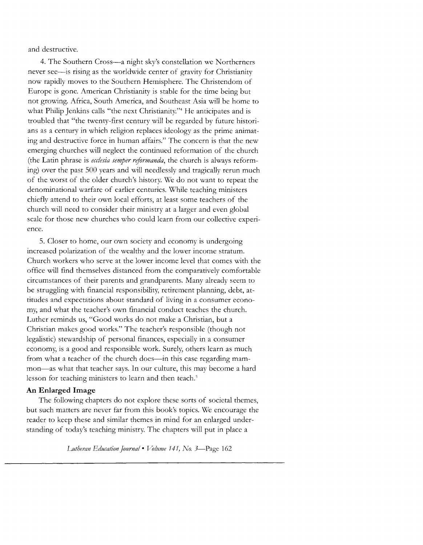and destructive.

4. The Southern Cross—a night sky's constellation we Northerners never see-is rising as the worldwide center of gravity for Christianity now rapidly moves to the Southern Hemisphere. The Christendom of Europe is gone. American Christianity is stable for the time being but not growing. Africa, South America, and Southeast Asia will be home to what Philip Jenkins calls "the next Christianity."4 He anticipates and is troubled that "the twenty-first century will be regarded by future historians as a century in which religion replaces ideology as the prime animating and destructive force in human affairs." The concern is that the new emerging churches will neglect the continued reformation of the church (the Latin phrase is *ecclesia semper reformanda*, the church is always reforming) over the past 500 years and will needlessly and tragically rerun much of the worst of the older church's history. We do not want to repeat the denominational warfare of earlier centuries. While teaching ministers chiefly attend to their own local efforts, at least some teachers of the church will need to consider their ministry at a larger and even global scale for those new churches who could learn from our collective experience.

5. Closer to home, our own society and economy is undergoing increased polarization of the wealthy and the lower income stratum. Church workers who serve at the lower income level that comes with the office will find themselves distanced from the comparatively comfortable circumstances of their parents and grandparents. Many already seem to be struggling with financial responsibility, retirement planning, debt, attitudes and expectations about standard of living in a consumer economy, and what the teacher's own financial conduct teaches the church. Luther reminds us, "Good works do not make a Christian, but a Christian makes good works." The teacher's responsible (though not legalistic) stewardship of personal finances, especially in a consumer economy, is a good and responsible work. Surely, others learn as much from what a teacher of the church does-in this case regarding mammon-as what that teacher says. **In** our culture, this may become a hard lesson for teaching ministers to learn and then teach.<sup>5</sup>

#### **An Enlarged Image**

The following chapters do not explore these sorts of societal themes, but such matters are never far from this book's topics. We encourage the reader to keep these and similar themes in mind for an enlarged understanding of today's teaching ministry. The chapters will put in place a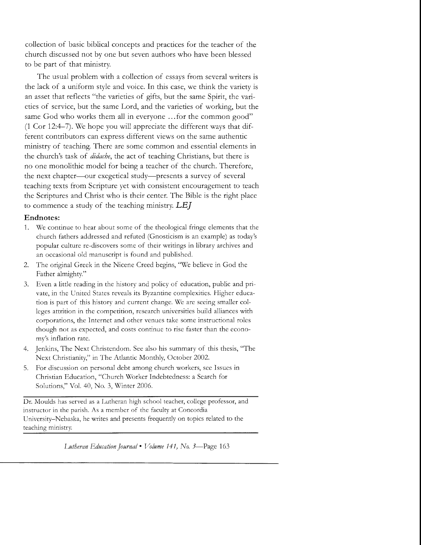collection of basic biblical concepts and practices for the teacher of the church discussed not by one but seven authors who have been blessed to be part of that ministry.

The usual problem with a collection of essays from several writers is the lack of a uniform style and voice. In this case, we think the variety is an asset that reflects "the varieties of gifts, but the same Spirit, the varieties of service, but the same Lord, and the varieties of working, but the same God who works them all in everyone ... for the common good" (1 Cor 12:4-7). We hope you will appreciate the different ways that different contributors can express different views on the same authentic ministry of teaching. There are some common and essential elements in the church's task of *didache,* the act of teaching Christians, but there is no one monolithic model for being a teacher of the church. Therefore, the next chapter-our exegetical study-presents a survey of several teaching texts from Scripture yet with consistent encouragement to teach the Scriptures and Christ who is their center. The Bible is the right place to commence a study of the teaching ministry. *LEJ* 

#### **Endnotes:**

- 1. We continue to hear about some of the theological fringe elements that the church fathers addressed and refuted (Gnosticism is an example) as today's popular culture re-discovers some of their writings in library archives and an occasional old manuscript is found and published.
- 2. The original Greek in the Nicene Creed begins, 'We believe in God the Father almighty."
- 3. Even a little reading in the history and policy of education, public and private, in the United States reveals its Byzantine complexities. Higher education is part of this history and current change. We are seeing smaller colleges attrition in the competition, research universities build alliances with corporations, the Internet and other venues take some instructional roles though not as expected, and costs continue to rise faster than the economy's inflation rate.
- 4. Jenkins, The Next Christendom. See also his summary of this thesis, "The Next Christianity," in The Atlantic Monthly, October 2002.
- 5. For discussion on personal debt among church workers, see Issues in Christian Education, "Church Worker Indebtedness: a Search for Solutions," Vol. 40, No.3, Winter 2006.

Dr. Moulds has served as a Lutheran high school teacher, college professor, and instructor in the parish. As a member of the faculty at Concordia University-Nebaska, he writes and presents frequently on topics related to the teaching ministry.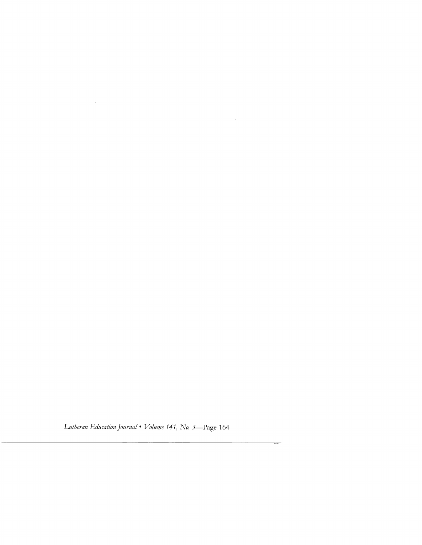*Lutheran Education Journal" Volume* **141,** *No.3-Page 164* 

 $\hat{\boldsymbol{\cdot}$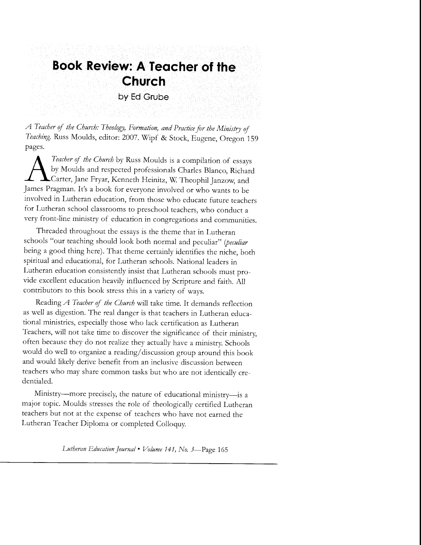# **Book Review: A Teacher of the** Church

by Ed Grube

*A Teacher* if *the Church: Theology} Formation} and Practice for the Ministry* if *Teaching.* Russ Moulds, editor: 2007. Wipf & Stock, Eugene, Oregon 159

pages.<br>Teacher of the Church by Russ Moulds is a compilation of essays<br>by Moulds and respected professionals Charles Blanco, Richard<br>Carter Jane Fryar Kennoth Heinitz, W. Theorhill Lyn by Moulds and respected professionals Charles Blanco, Richard Carter, Jane Fryar, Kenneth Heinitz, W Theophil Janzow, and James Pragman. It's a book for everyone involved or who wants to be involved in Lutheran education, from those who educate future teachers for Lutheran school classrooms to preschool teachers, who conduct a very front-line ministry of education in congregations and communities.

Threaded throughout the essays is the theme that in Lutheran schools "our teaching should look both normal and peculiar" *(peculiar*  being a good thing here). That theme certainly identifies the niche, both spiritual and educational, for Lutheran schools. National leaders in Lutheran education consistendy insist that Lutheran schools must provide excellent education heavily influenced by Scripture and faith. All contributors to this book stress this in a variety of ways.

Reading *A Teacher* if *the Church* will take time. **It** demands reflection as well as digestion. The real danger is that teachers in Lutheran educational ministries, especially those who lack certification as Lutheran Teachers, will not take time to discover the significance of their ministry, often because they do not realize they actually have a ministry. Schools would do well to organize a reading/discussion group around this book and would likely derive benefit from an inclusive discussion between teachers who may share common tasks but who are not identically credentialed.

Ministry-more precisely, the nature of educational ministry-is a major topic. Moulds stresses the role of theologically certified Lutheran teachers but not at the expense of teachers who have not earned the Lutheran Teacher Diploma or completed Colloquy.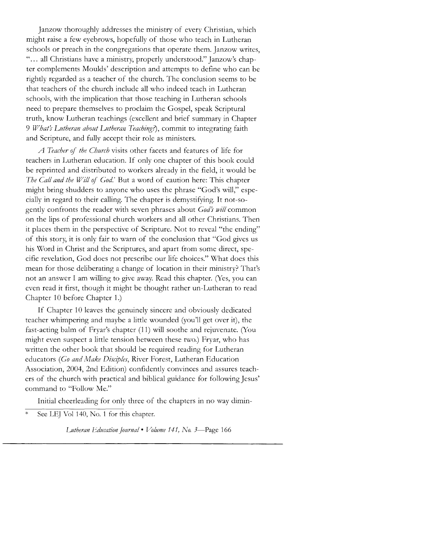Janzow thoroughly addresses the ministry of every Christian, which might raise a few eyebrows, hopefully of those who teach in Lutheran schools or preach in the congregations that operate them. Janzow writes, " ... all Christians have a ministry, properly understood." Janzow's chapter complements Moulds' description and attempts to define who can be rightly regarded as a teacher of the church. The conclusion seems to be that teachers of the church include all who indeed teach in Lutheran schools, with the implication that those teaching in Lutheran schools need to prepare themselves to proclaim the Gospel, speak Scriptural truth, know Lutheran teachings (excellent and brief summary in Chapter *9 Whats Lutheran about Lutheran Teaching?),* commit to integrating faith and Scripture, and fully accept their role as ministers.

*A Teacher* of *the Church* visits other facets and features of life for teachers in Lutheran education. If only one chapter of this book could be reprinted and distributed to workers already in the field, it would be *The Call and the Will* of *God'* But a word of caution here: This chapter might bring shudders to anyone who uses the phrase "God's will," especially in regard to their calling. The chapter is demystifying. It not-sogently confronts the reader with seven phrases about *Gods will* common on the lips of professional church workers and all other Christians. Then it places them in the perspective of Scripture. Not to reveal "the ending" of this story, it is only fair to warn of the conclusion that "God gives us his Word in Christ and the Scriptures, and apart from some direct, specific revelation, God does not prescribe our life choices." What does this mean for those deliberating a change of location in their ministry? That's not an answer I am willing to give away. Read this chapter. (Yes, you can even read it first, though it might be thought rather un-Lutheran to read Chapter 10 before Chapter 1.)

If Chapter 10 leaves the genuinely sincere and obviously dedicated teacher whimpering and maybe a little wounded (you'll get over it), the fast-acting balm of Fryar's chapter (11) will soothe and rejuvenate. (You might even suspect a little tension between these two.) Fryar, who has written the other book that should be required reading for Lutheran educators *(Go and Make Disciples,* River Forest, Lutheran Education Association, 2004, 2nd Edition) confidently convinces and assures teachers of the church with practical and biblical guidance for following Jesus' command to "Follow Me."

Initial cheerleading for only three of the chapters in no way dimin-

\* See LEJ Vol 140, No. 1 for this chapter.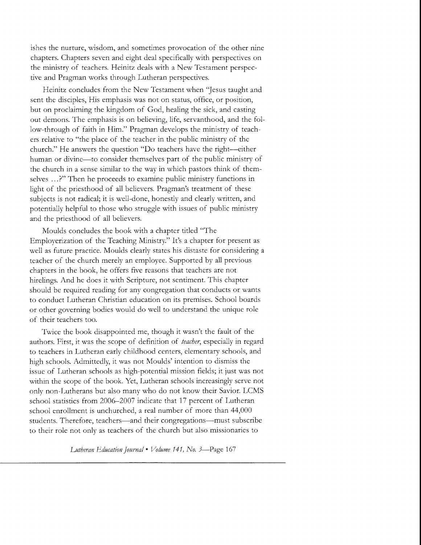ishes the nurture, wisdom, and sometimes provocation of the other nine chapters. Chapters seven and eight deal specifically with perspectives on the ministry of teachers. Heinitz deals with a New Testament perspective and Pragman works through Lutheran perspectives.

Heinitz concludes from the New Testament when ''Jesus taught and sent the disciples, His emphasis was not on status, office, or position, but on proclaiming the kingdom of God, healing the sick, and casting out demons. The emphasis is on believing, life, servanthood, and the follow-through of faith in Him." Pragman develops the ministry of teachers relative to "the place of the teacher in the public ministry of the church." He answers the question "Do teachers have the right-either human or divine-to consider themselves part of the public ministry of the church in a sense similar to the way in which pastors think of themselves ...?" Then he proceeds to examine public ministry functions in light of the priesthood of all believers. Pragman's treatment of these subjects is not radical; it is well-done, honestly and clearly written, and potentially helpful to those who struggle with issues of public ministry and the priesthood of all believers.

Moulds concludes the book with a chapter titled "The Employerization of the Teaching Ministry." It's a chapter for present as well as future practice. Moulds clearly states his distaste for considering a teacher of the church merely an employee. Supported by all previous chapters in the book, he offers five reasons that teachers are not hirelings. And he does it with Scripture, not sentiment. This chapter should be required reading for any congregation that conducts or wants to conduct Lutheran Christian education on its premises. School boards or other governing bodies would do well to understand the unique role of their teachers too.

Twice the book disappointed me, though it wasn't the fault of the authors. First, it was the scope of definition of *teacher,* especially in regard to teachers in Lutheran early childhood centers, elementary schools, and high schools. Admittedly, it was not Moulds' intention to dismiss the issue of Lutheran schools as high-potential mission fields; it just was not within the scope of the book. Yet, Lutheran schools increasingly serve not only non-Lutherans but also many who do not know their Savior. LCMS school statistics from 2006-2007 indicate that 17 percent of Lutheran school enrollment is unchurched, a real number of more than 44,000 students. Therefore, teachers—and their congregations—must subscribe to their role not only as teachers of the church but also missionaries to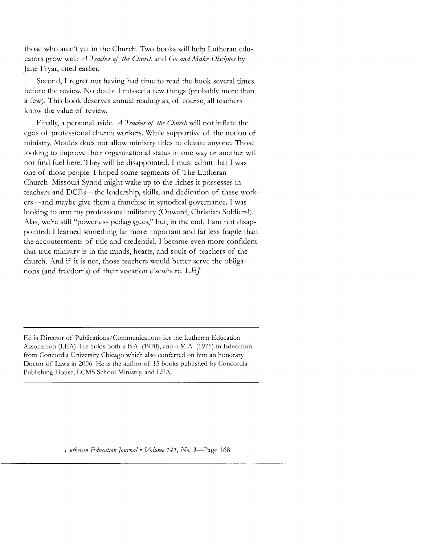those who aren't yet in the Church. Two books will help Lutheran educators grow well: *A Teacher* 0/ *the Church* and *Go and Make Disciples* by Jane Fryar, cited earlier.

Second, I regret not having had time to read the book several times before the review. No doubt I missed a few things (probably more than a few). This book deserves annual reading as, of course, all teachers know the value of review.

Finally, a personal aside. *A Teacher of the Church* will not inflate the egos of professional church workers. While supportive of the notion of ministry, Moulds does not allow ministry titles to elevate anyone. Those looking to improve their organizational status in one way or another will not find fuel here. They will be disappointed. I must admit that I was one of those people. I hoped some segments of The Lutheran Church-Missouri Synod might wake up to the riches it possesses in teachers and DCEs—the leadership, skills, and dedication of these workers-and maybe give them a franchise in synodical governance. I was looking to arm my professional militancy (Onward, Christian Soldiers!). Alas, we're still "powerless pedagogues," but, in the end, I am not disappointed: I learned something far more important and far less fragile than the accouterments of title and credential. I became even more confident that true ministry is in the minds, hearts, and souls of teachers of the church. And if it is not, those teachers would better serve the obligations (and freedoms) of their vocation elsewhere. *LEJ* 

Ed is Director of Publications/Communications for the Lutheran Education Association (LEA). He holds both a B.A. (1970), and a M.A. (1975) in Education from Concordia University Chicago which also conferred on him an honorary Doctor of Laws in 2006. He is the author of 15 books published by Concordia Publishing House, LCMS School Ministry, and LEA.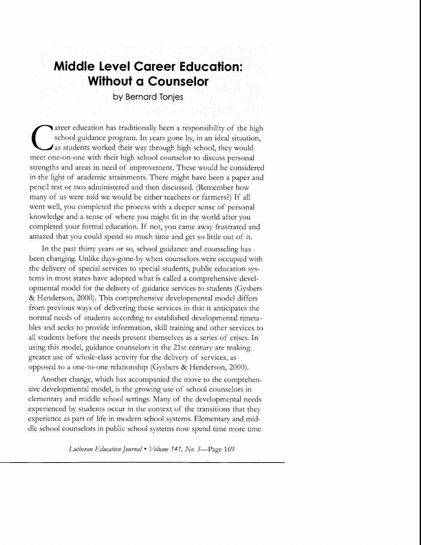# **Middle Level Career Education: Without a Counselor**

by Bernard Tonjes

areer education has traditionally been a responsibility of the high school guidance program. In years gone by, in an ideal situation, school guidance program. In years gone by, in an ideal situation, as students worked their way through high school, they would meet one-on-one with their high school counselor to discuss personal strengths and areas in need of improvement. These would be considered in the light of academic attainments. There might have been a paper and pencil test or two administered and then discussed. (Remember how many of us were told we would be either teachers or farmers?) If all went well, you completed the process with a deeper sense of personal knowledge and a sense of where you might fit in the world after you completed your formal education. If not, you came away frustrated and amazed that you could spend so much time and get so little out of it.

In the past thirty years or so, school guidance and counseling has been changing. Unlike days-gone-by when counselors were occupied with the delivery of special services to special students, public education systems in most states have adopted what is called a comprehensive developmental model for the delivery of guidance services to students (Gysbers & Henderson, 2000). This comprehensive developmental model differs from previous ways of delivering these services in that it anticipates the normal needs of students according to established developmental timetables and seeks to provide information, skill training and other services to all students before the needs present themselves as a series of crises. In using this model, guidance counselors in the 21st century are making greater use of whole-class activity for the delivery of services, as opposed to a one-to-one relationship (Gysbers & Henderson, 2000).

Another change, which has accompanied the move to the comprehensive developmental model, is the growing use of school counselors in elementary and middle school settings. Many of the developmental needs experienced by students occur in the context of the transitions that they experience as part of life in modern school systems. Elementary and middle school counselors in public school systems now spend time more time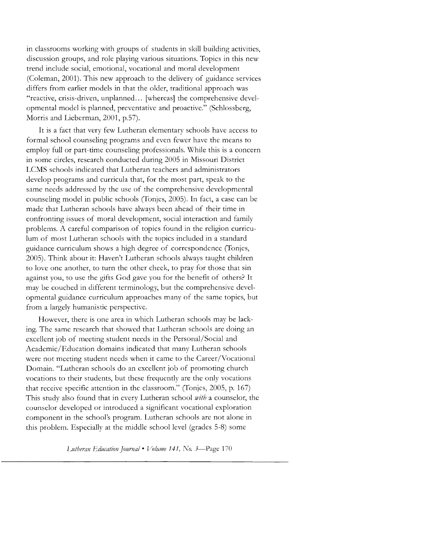in classrooms working with groups of students in skill building activities, discussion groups, and role playing various situations. Topics in this new trend include social, emotional, vocational and moral development (Coleman, 2001). This new approach to the delivery of guidance services differs from earlier models in that the older, traditional approach was "reactive, crisis-driven, unplanned... [whereas] the comprehensive developmental model is planned, preventative and proactive." (Schlossberg, Morris and Lieberman, 2001, p.57).

It is a fact that very few Lutheran elementary schools have access to formal school counseling programs and even fewer have the means to employ full or part-time counseling professionals. While this is a concern in some circles, research conducted during 2005 in Missouri District LCMS schools indicated that Lutheran teachers and administrators develop programs and curricula that, for the most part, speak to the same needs addressed by the use of the comprehensive developmental counseling model in public schools (Tonjes, 2005). In fact, a case can be made that Lutheran schools have always been ahead of their time in confronting issues of moral development, social interaction and family problems. A careful comparison of topics found in the religion curriculum of most Lutheran schools with the topics included in a standard guidance curriculum shows a high degree of correspondence (Tonjes, 2005). Think about *it:* Haven't Lutheran schools always taught children to love one another, to turn the other cheek, to pray for those that sin against you, to use the gifts God gave you for the benefit of others? It may be couched in different terminology, but the comprehensive developmental guidance curriculum approaches many of the same topics, but from a largely humanistic perspective.

However, there is one area in which Lutheran schools may be lacking. The same research that showed that Lutheran schools are doing an excellent job of meeting student needs in the Personal/Social and Academic/Education domains indicated that many Lutheran schools were not meeting student needs when *it* came to the Career/Vocational Domain. "Lutheran schools do an excellent job of promoting church vocations to their students, but these frequently are the only vocations that receive specific attention in the classroom." (Tonjes, 2005, p. 167) This study also found that in every Lutheran school *with* a counselor, the counselor developed or introduced a significant vocational exploration component in the school's program. Lutheran schools are not alone in this problem. Especially at the middle school level (grades 5-8) some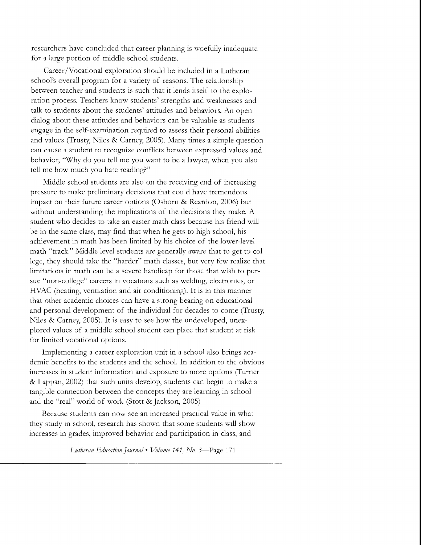researchers have concluded that career planning is woefully inadequate for a large portion of middle school students.

Career/Vocational exploration should be included in a Lutheran school's overall program for a variety of reasons. The relationship between teacher and students is such that it lends itself to the exploration process. Teachers know students' strengths and weaknesses and talk to students about the students' attitudes and behaviors. An open dialog about these attitudes and behaviors can be valuable as students engage in the self-examination required to assess their personal abilities and values (Trusty, Niles & Carney, 2005). Many times a simple question can cause a student to recognize conflicts between expressed values and behavior, ''Why do you tell me you want to be a lawyer, when you also tell me how much you hate reading?"

Middle school students are also on the receiving end of increasing pressure to make preliminary decisions that could have tremendous impact on their future career options (Osborn & Reardon, 2006) but without understanding the implications of the decisions they make. A student who decides to take an easier math class because his friend will be in the same class, may find that when he gets to high school, his achievement in math has been limited by his choice of the lower-level math "track." Middle level students are generally aware that to get to college, they should take the "harder" math classes, but very few realize that limitations in math can be a severe handicap for those that wish to pursue "non-college" careers in vocations such as welding, electronics, or HVAC (heating, ventilation and air conditioning). It is in this manner that other academic choices can have a strong bearing on educational and personal development of the individual for decades to come (Trusty, Niles & Carney, 2005). It is easy to see how the undeveloped, unexplored values of a middle school student can place that student at risk for limited vocational options.

Implementing a career exploration unit in a school also brings academic benefits to the students and the school. In addition to the obvious increases in student information and exposure to more options (Turner & Lappan, 2002) that such units develop, students can begin to make a tangible connection between the concepts they are learning in school and the "real" world of work (Stott & Jackson, 2005)

Because students can now see an increased practical value in what they study in school, research has shown that some students will show increases in grades, improved behavior and participation in class, and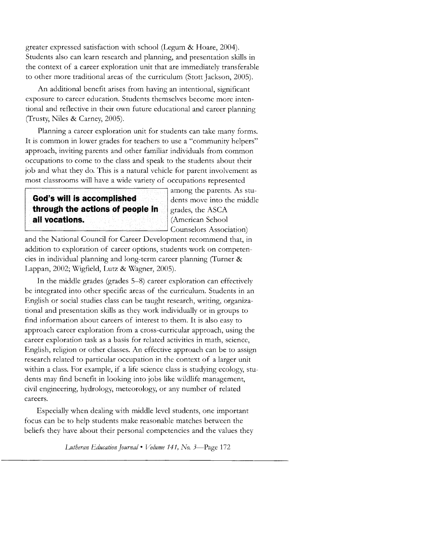greater expressed satisfaction with school (Legum & Hoare, 2004). Students also can learn research and planning, and presentation skills in the context of a career exploration unit that are immediately transferable to other more traditional areas of the curriculum (Stott Jackson, 2005).

An additional benefit arises from having an intentional, significant exposure to career education. Students themselves become more intentional and reflective in their own future educational and career planning (Trusty, Niles & Carney, 2005).

Planning a career exploration unit for students can take many forms. It is common in lower grades for teachers to use a "community helpers" approach, inviting parents and other familiar individuals from common occupations to come to the class and speak to the students about their job and what they do. This is a natural vehicle for parent involvement as most classrooms will have a wide variety of occupations represented

## God's will is accomplished **through the actions of** people In **all vocations.**

among the parents. As students move into the middle grades, the ASCA (American School Counselors Association)

and the National Council for Career Development recommend that, in addition to exploration of career options, students work on competencies in individual planning and long-term career planning (Turner  $\&$ Lappan, 2002; Wigfield, Lutz & Wagner, 2005).

In the middle grades (grades 5-8) career exploration can effectively be integrated into other specific areas of the curriculum. Students in an English or social studies class can be taught research, writing, organizational and presentation skills as they work individually or in groups to find information about careers of interest to them. It is also easy to approach career exploration from a cross-curricular approach, using the career exploration task as a basis for related activities in math, science, English, religion or other classes. An effective approach can be to assign research related to particular occupation in the context of a larger unit within a class. For example, if a life science class is studying ecology, students may find benefit in looking into jobs like wildlife management, civil engineering, hydrology, meteorology, or any number of related careers.

Especially when dealing with middle level students, one important focus can be to help students make reasonable matches between the beliefs they have about their personal competencies and the values they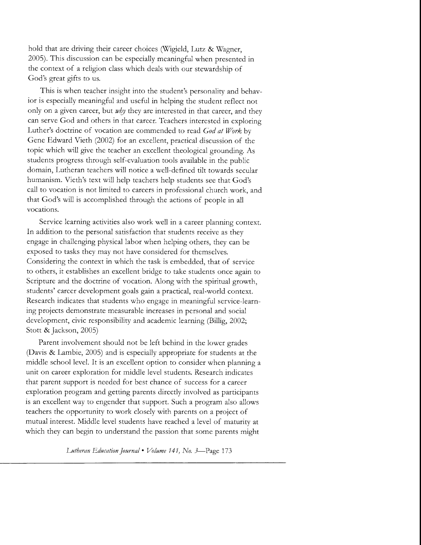hold that are driving their career choices (Wigield, Lutz & Wagner, 2005). This discussion can be especially meaningful when presented in the context of a religion class which deals with our stewardship of God's great gifts to us.

This is when teacher insight into the student's personality and behavior is especially meaningful and useful in helping the student reflect not only on a given career, but  $wby$  they are interested in that career, and they can serve God and others in that career. Teachers interested in exploring Luther's doctrine of vocation are commended to read *God at Work* by Gene Edward Vieth (2002) for an excellent, practical discussion of the topic which will give the teacher an excellent theological grounding. As students progress through self-evaluation tools available in the public domain, Lutheran teachers will notice a well-defmed tilt towards secular humanism. Vieth's text will help teachers help students see that God's call to vocation is not limited to careers in professional church work, and that God's will is accomplished through the actions of people in all vocations.

Service learning activities also work well in a career planning context. **In** addition to the personal satisfaction that students receive as they engage in challenging physical labor when helping others, they can be exposed to tasks they may not have considered for themselves. Considering the context in which the task is embedded, that of service to others, it establishes an excellent bridge to take students once again to Scripture and the doctrine of vocation. Along with the spiritual growth, students' career development goals gain a practical, real-world context. Research indicates that students who engage in meaningful service-learning projects demonstrate measurable increases in personal and social development, civic responsibility and academic learning (Billig, 2002; Stott & Jackson, 2005)

Parent involvement should not be left behind in the lower grades (Davis & Lambie, 2005) and is especially appropriate for students at the middle school level. It is an excellent option to consider when planning a unit on career exploration for middle level students. Research indicates that parent support is needed for best chance of success for a career exploration program and getting parents direcdy involved as participants is an excellent way to engender that support. Such a program also allows teachers the opportunity to work closely with parents on a project of mutual interest. Middle level students have reached a level of maturity at which they can begin to understand the passion that some parents might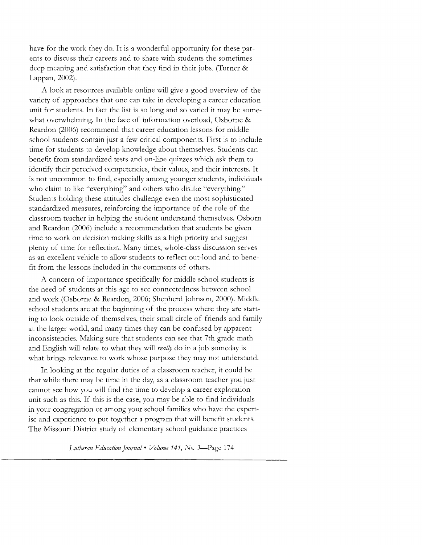have for the work they do. It is a wonderful opportunity for these parents to discuss their careers and to share with students the sometimes deep meaning and satisfaction that they find in their jobs. (Turner & Lappan, 2002).

A look at resources available online will give a good overview of the variety of approaches that one can take in developing a career education unit for students. In fact the list is so long and so varied it may be somewhat overwhelming. In the face of information overload, Osborne & Reardon (2006) recommend that career education lessons for middle school students contain just a few critical components. First is to include time for students to develop knowledge about themselves. Students can benefit from standardized tests and on-line quizzes which ask them to identify their perceived competencies, their values, and their interests. It is not uncommon to find, especially among younger students, individuals who claim to like "everything" and others who dislike "everything." Students holding these attitudes challenge even the most sophisticated standardized measures, reinforcing the importance of the role of the classroom teacher in helping the student understand themselves. Osborn and Reardon (2006) include a recommendation that students be given time to work on decision making skills as a high priority and suggest plenty of time for reflection. Many times, whole-class discussion serves as an excellent vehicle to allow students to reflect out-loud and to benefit from the lessons included in the comments of others.

A concern of importance specifically for middle school students is the need of students at this age to see connectedness between school and work (Osborne & Reardon, 2006; Shepherd Johnson, 2000). Middle school students are at the beginning of the process where they are starting to look outside of themselves, their small circle of friends and family at the larger world, and many times they can be confused by apparent inconsistencies. Making sure that students can see that 7th grade math and English will relate to what they will *reallY* do in a job someday is what brings relevance to work whose purpose they may not understand.

In looking at the regular duties of a classroom teacher, it could be that while there may be time in the day, as a classroom teacher you just cannot see how you will find the time to develop a career exploration unit such as this. If this is the case, you may be able to find individuals in your congregation or among your school families who have the expertise and experience to put together a program that will benefit students. The Missouri District study of elementary school guidance practices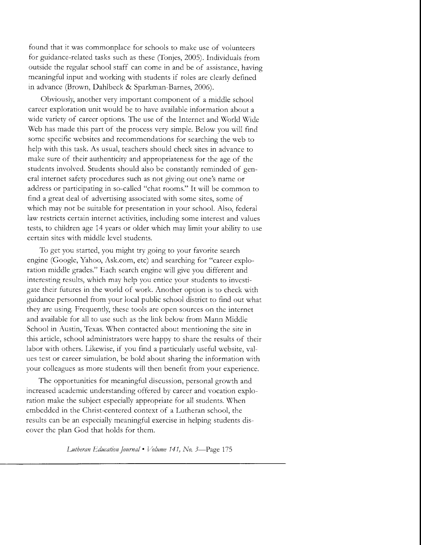found that it was commonplace for schools to make use of volunteers for guidance-related tasks such as these (fonjes, 200S). Individuals from outside the regular school staff can come in and be of assistance, having meaningful input and working with students if roles are clearly defined in advance (Brown, Dahlbeck & Sparkman-Barnes, 2006).

Obviously, another very important component of a middle school career exploration unit would be to have available information about a wide variety of career options. The use of the Internet and World Wide Web has made this part of the process very simple. Below you will find some specific websites and recommendations for searching the web to help with this task. As usual, teachers should check sites in advance to make sure of their authenticity and appropriateness for the age of the students involved. Students should also be constantly reminded of general internet safety procedures such as not giving out one's name or address or participating in so-called "chat rooms." It will be common to find a great deal of advertising associated with some sites, some of which may not be suitable for presentation in your school. Also, federal law restricts certain internet activities, including some interest and values tests, to children age 14 years or older which may limit your ability to use certain sites with middle level students.

To get you started, you might try going to your favorite search engine (Google, Yahoo, Ask.com, etc) and searching for "career exploration middle grades." Each search engine will give you different and interesting results, which may help you entice your students to investigate their futures in the world of work. Another option is to check with guidance personnel from your local public school district to find out what they are using. Frequently, these tools are open sources on the internet and available for all to use such as the link below from Mann Middle School in Austin, Texas. When contacted about mentioning the site in this article, school administrators were happy to share the results of their labor with others. Likewise, if you find a particularly useful website, values test or career simulation, be bold about sharing the information with your colleagues as more students will then benefit from your experience.

The opportunities for meaningful discussion, personal growth and increased academic understanding offered by career and vocation exploration make the subject especially appropriate for all students. When embedded in the Christ-centered context of a Lutheran school, the results can be an especially meaningful exercise in helping students discover the plan God that holds for them.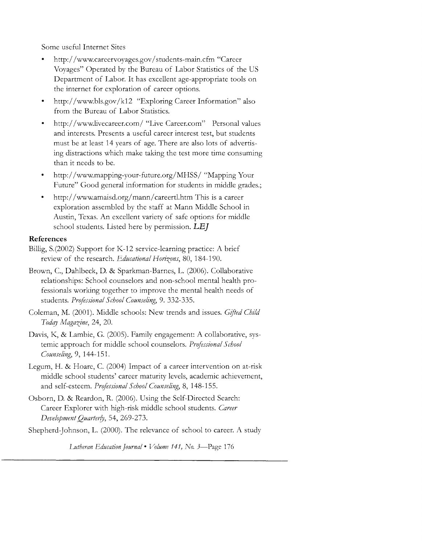Some useful Internet Sites

- http://www.careervoyages.gov / students-main.cfm "Career Voyages" Operated by the Bureau of Labor Statistics of the US Department of Labor. It has excellent age-appropriate tools on the internet for exploration of career options.
- http://www.bls.gov/k12 "Exploring Career Information" also from the Bureau of Labor Statistics.
- http://www.livecareer.com/ "Live Career.com" Personal values and interests. Presents a useful career interest test, but students must be at least 14 years of age. There are also lots of advertising distractions which make taking the test more time consuming than it needs to be.
- http://www.mapping-your-future.org/MHSS/ "Mapping Your Future" Good general information for students in middle grades.;
- http://www.amaisd.org/mann/careertl.htm This is a career exploration assembled by the staff at Mann Middle School in Austin, Texas. An excellent variety of safe options for middle school students. Listed here by permission. *LEJ*

#### **References**

- Billig, S.(2002) Support for K-12 service-learning practice: A brief review of the research. *Educational Horizons,* 80, 184-190.
- Brown, c., Dahlbeck, D. & Sparkman-Barnes, L. (2006). Collaborative relationships: School counselors and non-school mental health professionals working together to improve the mental health needs of students. *Prrifessional School Counseling,* 9. 332-335.
- Coleman, M. (2001). Middle schools: New trends and issues. *Gifted Child Todqy Magazine,* 24, 20.
- Davis, K, & Lambie, G. (2005). Family engagement: A collaborative, systemic approach for middle school counselors. *Prrifessional School Counseling,* 9, 144-151.
- Legum, H. & Hoare, C. (2004) Impact of a career intervention on at-risk middle school students' career maturity levels, academic achievement, and self-esteem. *Prrifessional School Counseling,* 8, 148-155.
- Osborn, D. & Reardon, R. (2006). Using the Self-Directed Search: Career Explorer with high-risk middle school students. *Career Development QuarterlY,* 54, 269-273.
- Shepherd-Johnson, L. (2000). The relevance of school to career. A study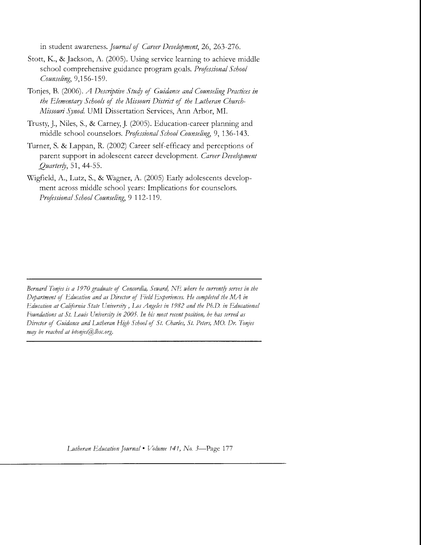in student awareness. *Journal* if *Career Development,* 26, 263-276.

- Stott, K, & Jackson, A (2005). Using service learning to achieve middle school comprehensive guidance program goals. *Prrifessional School Counseling, 9,156-159.*
- Tonjes, B. (2006). *A Descriptive Study of Guidance and Counseling Practices in the Elementary Schools* if *the Missouri District* if *the Lutheran Church-Missouri Synod.* UMI Dissertation Services, Ann Arbor, MI.
- Trusty,]., Niles, S., & Carney,]. (2005). Education-career planning and middle school counselors. *Prrifessional School Counseling,* 9, 136-143.
- Turner, S. & Lappan, R. (2002) Career self-efficacy and perceptions of parent support in adolescent career development. *Career Development QuarterlY,* 51,44-55.
- Wigfield, A., Lutz, S., & Wagner, A. (2005) Early adolescents development across middle school years: Implications for counselors. *Prrifessional School Counseling,* 9 112-119.

Bernard Tonjes is a 1970 graduate of Concordia, Seward, NE where he currently serves in the *Department of Education and as Director of Field Experiences. He completed the MA in Education at California State University, Los Angeles in* 1982 *and the Ph.D. in Educational Foundations at St. Louis University in 2005. In his most recent position, he has served as Director of Guidance and Lutheran High School of Sf. Charles, St. Peters, MO. Dr. Tonjes mqy be reached at btonjeS@lhsc.org.*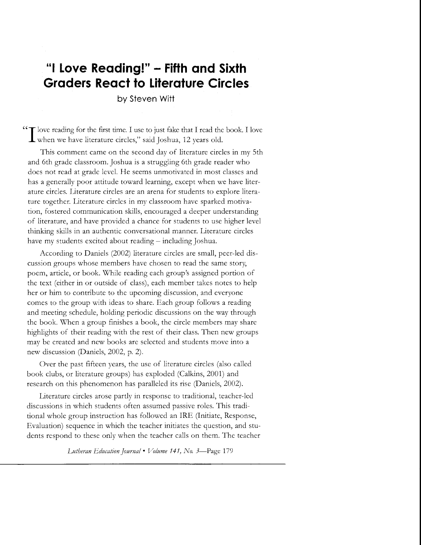# "I Love Reading!" – Fifth and Sixth **Graders React to Literature Circles**

by Steven Witt

**"I** love reading for the first time. I use to just fake that I read the book. I love when we have literature circles," said Joshua, 12 years old.

This comment came on the second day of literature circles in my 5th and 6th grade classroom. Joshua is a struggling 6th grade reader who does not read at grade level. He seems unmotivated in most classes and has a generally poor attitude toward learning, except when we have literature circles. Literature circles are an arena for students to explore literature together. Literature circles in my classroom have sparked motivation, fostered communication skills, encouraged a deeper understanding of literature, and have provided a chance for students to use higher level thinking skills in an authentic conversational manner. Literature circles have my students excited about reading - including Joshua.

According to Daniels (2002) literature circles are small, peer-led discussion groups whose members have chosen to read the same story, poem, article, or book. While reading each group's assigned portion of the text (either in or outside of class), each member takes notes to help her or him to contribute to the upcoming discussion, and everyone comes to the group with ideas to share. Each group follows a reading and meeting schedule, holding periodic discussions on the way through the book. When a group finishes a book, the circle members may share highlights of their reading with the rest of their class. Then new groups may be created and new books are selected and students move into a new discussion (Daniels, 2002, p. 2).

Over the past fifteen years, the use of literature circles (also called book clubs, or literature groups) has exploded (Calkins, 2001) and research on this phenomenon has paralleled its rise (Daniels, 2002).

Literature circles arose partly in response to traditional, teacher-led discussions in which students often assumed passive roles. This traditional whole group instruction has followed an **IRE** (Initiate, Response, Evaluation) sequence in which the teacher initiates the question, and students respond to these only when the teacher calls on them. The teacher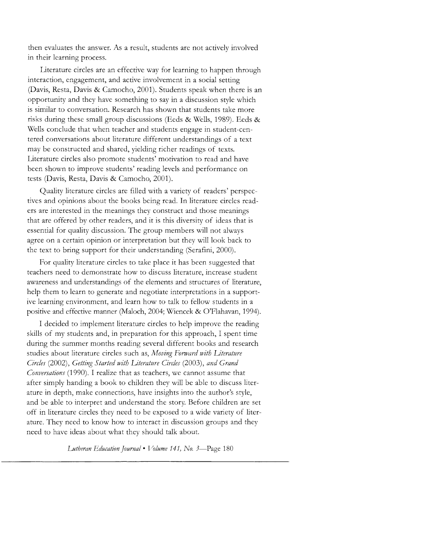then evaluates the answer. As a result, students are not actively involved in their learning process.

Literature circles are an effective way for learning to happen through interaction, engagement, and active involvement in a social setting (Davis, Resta, Davis & Camocho, 2001). Students speak when there is an opportunity and they have something to say in a discussion style which is similar to conversation. Research has shown that students take more risks during these small group discussions (Eeds & Wells, 1989). Eeds  $\&$ Wells conclude that when teacher and students engage in student-centered conversations about literature different understandings of a text may be constructed and shared, yielding richer readings of texts. Literature circles also promote students' motivation to read and have been shown to improve students' reading levels and performance on tests (Davis, Resta, Davis & Camocho, 2001).

Quality literature circles are filled with a variety of readers' perspectives and opinions about the books being read. In literature circles readers are interested in the meanings they construct and those meanings that are offered by other readers, and it is this diversity of ideas that is essential for quality discussion. The group members will not always agree on a certain opinion or interpretation but they will look back to the text to bring support for their understanding (Serafini, 2000).

For quality literature circles to take place it has been suggested that teachers need to demonstrate how to discuss literature, increase student awareness and understandings of the elements and structures of literature, help them to learn to generate and negotiate interpretations in a supportive learning environment, and learn how to talk to fellow students in a positive and effective manner (Maloch, 2004; Wiencek & O'Flahavan, 1994).

I decided to implement literature circles to help improve the reading skills of my students and, in preparation for this approach, I spent time during the summer months reading several different books and research studies about literature circles such as, *Moving Forward with Literature Circles* (2002), *Getting Started with Literature Circles* (2003), *and Grand Conversations* (1990). I realize that as teachers, we cannot assume that after simply handing a book to children they will be able to discuss literature in depth, make connections, have insights into the author's style, and be able to interpret and understand the story. Before children are set off in literature circles they need to be exposed to a wide variety of literature. They need to know how to interact in discussion groups and they need to have ideas about what they should talk about.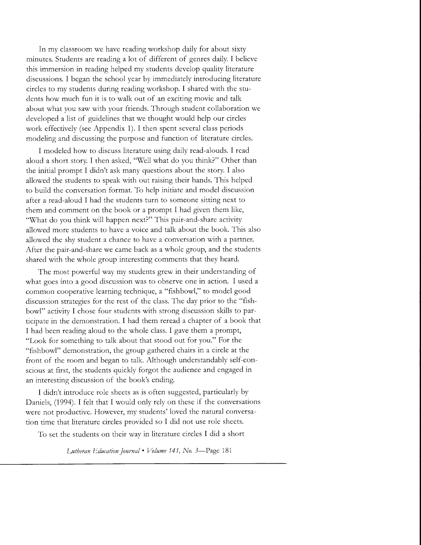**In** my classroom we have reading workshop daily for about sixty minutes. Students are reading a lot of different of genres daily. I believe this immersion in reading helped my students develop quality literature discussions. I began the school year by immediately introducing literature circles to my students during reading workshop. I shared with the students how much fun it is to walk out of an exciting movie and talk about what you saw with your friends. Through student collaboration we developed a list of guidelines that we thought would help our circles work effectively (see Appendix 1). I then spent several class periods modeling and discussing the purpose and function of literature circles.

I modeled how to discuss literature using daily read-alouds. I read aloud a short story. I then asked, "Well what do you think?" Other than the initial prompt I didn't ask many questions about the story. I also allowed the students to speak with out raising their hands. This helped to build the conversation format. To help initiate and model discussion after a read-aloud I had the students turn to someone sitting next to them and comment on the book or a prompt I had given them like, "What do you think will happen next?" This pair-and-share activity allowed more students to have a voice and talk about the book. This also allowed the shy student a chance to have a conversation with a partner. After the pair-and-share we came back as a whole group, and the students shared with the whole group interesting comments that they heard.

The most powerful way my students grew in their understanding of what goes into a good discussion was to observe one in action. I used a common cooperative learning technique, a "fishbowl," to model good discussion strategies for the rest of the class. The day prior to the "fishbowl" activity I chose four students with strong discussion skills to participate in the demonstration. I had them reread a chapter of a book that I had been reading aloud to the whole class. I gave them a prompt, "Look for something to talk about that stood out for you." For the "fishbowl" demonstration, the group gathered chairs in a circle at the front of the room and began to talk. Although understandably self-conscious at first, the students quickly forgot the audience and engaged in an interesting discussion of the book's ending.

I didn't introduce role sheets as is often suggested, particularly by Daniels, (1994). I felt that I would only rely on these if the conversations were not productive. However, my students' loved the natural conversation time that literature circles provided so I did not use role sheets.

To set the students on their way in literature circles I did a short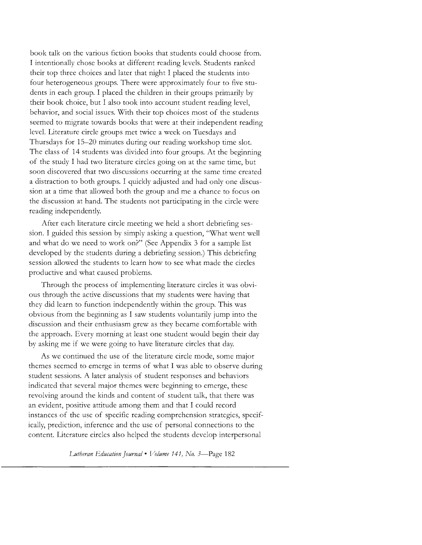book talk on the various fiction books that students could choose from. I intentionally chose books at different reading levels. Students ranked their top three choices and later that night I placed the students into four heterogeneous groups. There were approximately four to five students in each group. I placed the children in their groups primarily by their book choice, but I also took into account student reading level, behavior, and social issues. With their top choices most of the students seemed to migrate towards books that were at their independent reading level. Literature circle groups met twice a week on Tuesdays and Thursdays for 15-20 minutes during our reading workshop time slot. The class of **14** students was divided into four groups. At the beginning of the study I had two literature circles going on at the same time, but soon discovered that two discussions occurring at the same time created a distraction to both groups. I quickly adjusted and had only one discussion at a time that allowed both the group and me a chance to focus on the discussion at hand. The students not participating in the circle were reading independently.

After each literature circle meeting we held a short debriefing session. I guided this session by simply asking a question, ''What went well and what do we need to work on?" (See Appendix 3 for a sample list developed by the students during a debriefing session.) This debriefing session allowed the students to learn how to see what made the circles productive and what caused problems.

Through the process of implementing literature circles it was obvious through the active discussions that my students were having that they did learn to function independently within the group. This was obvious from the beginning as I saw students voluntarily jump into the discussion and their enthusiasm grew as they became comfortable with the approach. Every morning at least one student would begin their day by asking me if we were going to have literature circles that day.

As we continued the use of the literature circle mode, some major themes seemed to emerge in terms of what I was able to observe during student sessions. A later analysis of student responses and behaviors indicated that several major themes were beginning to emerge, these revolving around the kinds and content of student talk, that there was an evident, positive attitude among them and that I could record instances of the use of specific reading comprehension strategies, specifically, prediction, inference and the use of personal connections to the content. Literature circles also helped the students develop interpersonal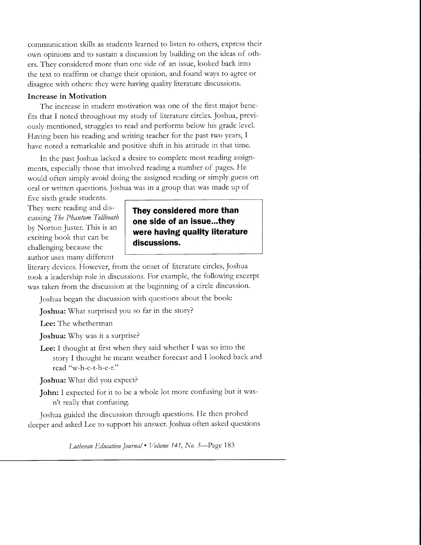communication skills as students learned to listen to others, express their own opinions and to sustain a discussion by building on the ideas of others. They considered more than one side of an issue, looked back into the text to reaffirm or change their opinion, and found ways to agree or disagree with others: they were having quality literature discussions.

#### **Increase in Motivation**

The increase in student motivation was one of the first major benefits that I noted throughout my study of literature circles. Joshua, previously mentioned, struggles to read and performs below his grade leveL Having been his reading and writing teacher for the past two years, I have noted a remarkable and positive shift in his attitude in that time.

In the past Joshua lacked a desire to complete most reading assignments, especially those that involved reading a number of pages. He would often simply avoid doing the assigned reading or simply guess on oral or written questions. Joshua was in a group that was made up of

five sixth grade students. They were reading and discussing The Phantom Tollbooth by Norton Juster. This is an challenging because the author uses many different

They considered more than one side of an issue...they by Norton Justef. This is  $a_{11}$  were having quality literature<br>exciting book that can be discussions.

literary devices. However, from the onset of literature circles, Joshua took a leadership role in discussions. For example, the following excerpt was taken from the discussion at the beginning of a circle discussion.

Joshua began the discussion with questions about the book:

**Joshua:** What surprised you so far in the story?

**Lee:** The whetherman

**Joshua:** Why was it a surprise?

**Lee:** I thought at first when they said whether I was so into the story I thought he meant weather forecast and I looked back and read "w-h-e-t-h-e-r."

**Joshua:** What did you expect?

**John:** I expected for it to be a whole lot more confusing but it wasn't really that confusing.

Joshua guided the discussion through questions. He then probed deeper and asked Lee to support his answer. Joshua often asked questions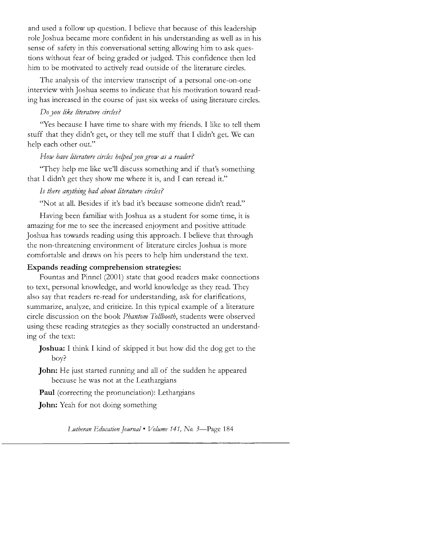and used a follow up question. I believe that because of this leadership role Joshua became more confident in his understanding as well as in his sense of safety in this conversational setting allowing him to ask questions without fear of being graded or judged. This confidence then led him to be motivated to actively read outside of the literature circles.

The analysis of the interview transcript of a personal one-on-one interview with Joshua seems to indicate that his motivation toward reading has increased in the course of just six weeks of using literature circles.

#### *Do you like literature circles?*

"Yes because I have time to share with my friends. I like to tell them stuff that they didn't get, or they tell me stuff that I didn't get. We can help each other out."

#### *How have literature circles helped you grow as a reader?*

"They help me like we'll discuss something and if that's something that I didn't get they show me where it is, and I can reread it."

#### Is there anything bad about literature circles?

"Not at all. Besides if it's bad it's because someone didn't read."

Having been familiar with Joshua as a student for some time, it is amazing for me to see the increased enjoyment and positive attitude Joshua has towards reading using this approach. I believe that through the non-threatening environment of literature circles Joshua is more comfortable and draws on his peers to help him understand the text.

#### **Expands reading comprehension strategies:**

Fountas and Pinnel (2001) state that good readers make connections to text, personal knowledge, and world knowledge as they read. They also say that readers re-read for understanding, ask for clarifications, summarize, analyze, and criticize. In this typical example of a literature circle discussion on the book *Phantom Tollbooth,* students were observed using these reading strategies as they socially constructed an understanding of the text:

- **Joshua: I** think I kind of skipped it but how did the dog get to the boy?
- **John:** He just started running and all of the sudden he appeared because he was not at the Leathargians
- **Paul** (correcting the pronunciation): Lethargians

**John:** Yeah for not doing something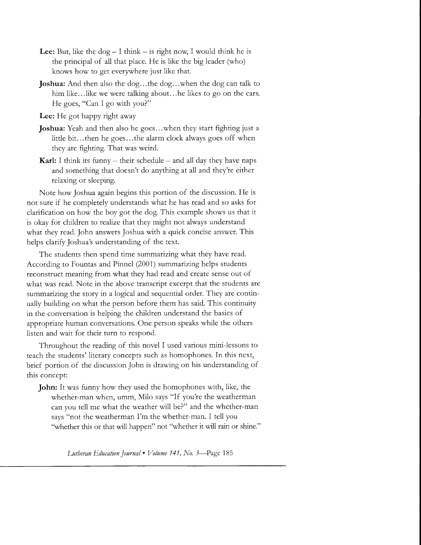- **Lee:** But, like the  $\log I$  think  $-$  is right now, I would think he is the principal of all that place. He is like the big leader (who) knows how to get everywhere just like that.
- **Joshua:** And then also the dog...the dog...when the dog can talk to him like...like we were talking about...he likes to go on the cars. He goes, "Can I go with you?"
- **Lee:** He got happy right away
- **Joshua:** Yeah and then also he goes ... when they start fighting just a little bit...then he goes...the alarm clock always goes off when they are fighting. That was weird.
- **Karl:** I think its funny  $-$  their schedule  $-$  and all day they have naps and something that doesn't do anything at all and they're either relaxing or sleeping.

Note how Joshua again begins this portion of the discussion. He is not sure if he completely understands what he has read and so asks for clarification on how the boy got the dog. This example shows us that it is okay for children to realize that they might not always understand what they read. John answers Joshua with a quick concise answer. This helps clarify Joshua's understanding of the text.

The students then spend time summarizing what they have read. According to Fountas and Pinnel (2001) summarizing helps students reconstruct meaning from what they had read and create sense out of what was read. Note in the above transcript excerpt that the students are summarizing the story in a logical and sequential order. They are continually building on what the person before them has said. This continuity in the conversation is helping the children understand the basics of appropriate human conversations. One person speaks while the others listen and wait for their turn to respond.

Throughout the reading of this novel I used various mini-lessons to teach the students' literary concepts such as homophones. **In** this next, brief portion of the discussion John is drawing on his understanding of this concept:

**John:** It was funny how they used the homophones with, like, the whether-man when, umm, Milo says "If you're the weatherman can you tell me what the weather will be?" and the whether-man says "not the weatherman I'm the whether-man. I tell you "whether this or that will happen" not "whether it will rain or shine."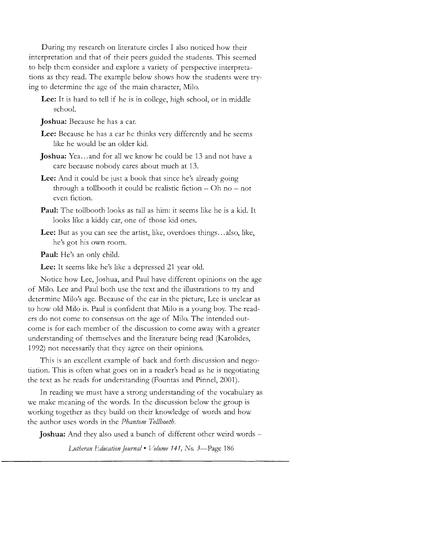During my research on literature circles I also noticed how their interpretation and that of their peers guided the students. This seemed to help them consider and explore a variety of perspective interpretations as they read. The example below shows how the students were trying to determine the age of the main character, Milo.

- Lee: It is hard to tell if he is in college, high school, or in middle school.
- **Joshua:** Because he has a car.
- **Lee:** Because he has a car he thinks very differently and he seems like he would be an older kid.
- **Joshua:** Yea...and for all we know he could be 13 and not have a care because nobody cares about much at 13.
- **Lee:** And it could be just a book that since he's already going through a tollbooth it could be realistic fiction  $-$  Oh no  $-$  not even fiction.
- **Paul:** The tollbooth looks as tall as him: it seems like he is a kid. It looks like a kiddy car, one of those kid ones.
- Lee: But as you can see the artist, like, overdoes things...also, like, he's got his own room.

**Paul:** He's an only child.

**Lee:** It seems like he's like a depressed 21 year old.

Notice how Lee, Joshua, and Paul have different opinions on the age of Milo. Lee and Paul both use the text and the illustrations to try and determine Milo's age. Because of the car in the picture, Lee is unclear as to how old Milo is. Paul is confident that Milo is a young boy. The readers do not come to consensus on the age of Milo. The intended outcome is for each member of the discussion to come away with a greater understanding of themselves and the literature being read (Karolides, 1992) not necessarily that they agree on their opinions.

This is an excellent example of back and forth discussion and negotiation. This is often what goes on in a reader's head as he is negotiating the text as he reads for understanding (Fountas and Pinnel, 2001).

In reading we must have a strong understanding of the vocabulary as we make meaning of the words. In the discussion below the group is working together as they build on their knowledge of words and how the author uses words in the *Phantom Tollbooth.* 

**Joshua:** And they also used a bunch of different other weird words -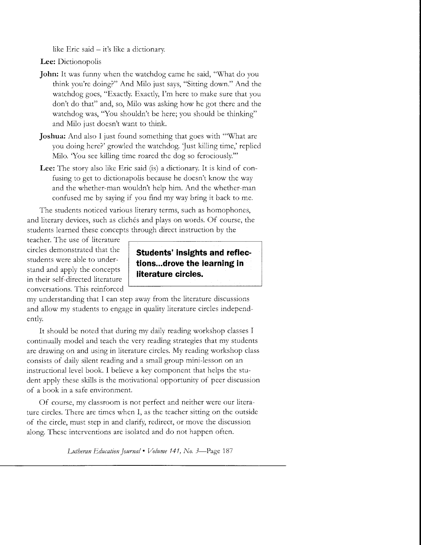like Eric said – it's like a dictionary.

**Lee:** Dictionopolis

- **John:** It was funny when the watchdog came he said, "What do you think you're doing?" And Milo just says, "Sitting down." And the watchdog goes, "Exactly. Exactly, I'm here to make sure that you don't do that" and, so, Milo was asking how he got there and the watchdog was, "You shouldn't be here; you should be thinking" and Milo just doesn't want to think.
- **Joshua:** And also I just found something that goes with "'What are you doing here?' growled the watchdog. 'Just killing time,' replied Milo. 'You see killing time roared the dog so ferociously.'"
- Lee: The story also like Eric said (is) a dictionary. It is kind of confusing to get to dictionapolis because he doesn't know the way and the whether-man wouldn't help him. And the whether-man confused me by saying if you find my way bring it back to me.

The students noticed various literary terms, such as homophones, and literary devices, such as clichés and plays on words. Of course, the students learned these concepts through direct instruction by the

teacher. The use of literature circles demonstrated that the students were able to understand and apply the concepts in their self-directed literature conversations. This reinforced

**Students' insights and reflec**tions...drove the learning in literature circles.

my understanding that I can step away from the literature discussions and allow my students to engage in quality literature circles independently.

It should be noted that during my daily reading workshop classes I continually model and teach the very reading strategies that my students are drawing on and using in literature circles. My reading workshop class consists of daily silent reading and a small group mini-lesson on an instructional level book. I believe a key component that helps the student apply these skills is the motivational opportunity of peer discussion of a book in a safe environment.

Of course, my classroom is not perfect and neither were our literature circles. There are times when **I,** as the teacher sitting on the outside of the circle, must step in and clarify, redirect, or move the discussion along. These interventions are isolated and do not happen often.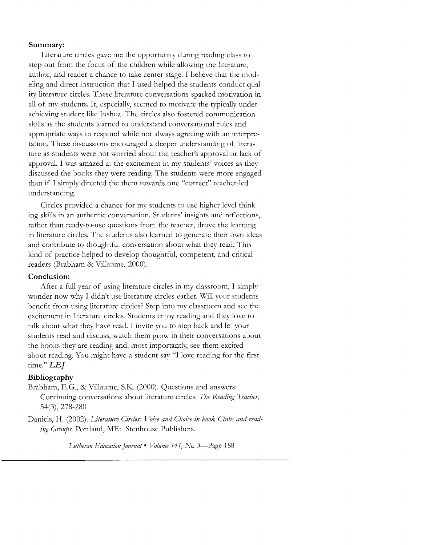#### **Summary:**

Literature circles gave me the opportunity during reading class to step out from the focus of the children while allowing the literature, author, and reader a chance to take center stage. I believe that the modeling and direct instruction that I used helped the students conduct quality literature circles. These literature conversations sparked motivation in all of my students. It, especially, seemed to motivate the typically underachieving student like Joshua. The circles also fostered communication skills as the students learned to understand conversational rules and appropriate ways to respond while not always agreeing with an interpretation. These discussions encouraged a deeper understanding of literature as students were not worried about the teacher's approval or lack of approval. I was amazed at the excitement in my students' voices as they discussed the books they were reading. The students were more engaged than if I simply directed the them towards one "correct" teacher-led understanding.

Circles provided a chance for my students to use higher level thinking skills in an authentic conversation. Students' insights and reflections, rather than ready-to-use questions from the teacher, drove the learning in literature circles. The students also learned to generate their own ideas and contribute to thoughtful conversation about what they read. This kind of practice helped to develop thoughtful, competent, and critical readers (Brabham & Villaume, 2000).

#### **Conclusion:**

After a full year of using literature circles in my classroom, I simply wonder now why I didn't use literature circles earlier. Will your students benefit from using literature circles? Step into my classroom and see the excitement in literature circles. Students enjoy reading and they love to talk about what they have read. I invite you to step back and let your students read and discuss, watch them grow in their conversations about the books they are reading and, most importantly, see them excited about reading. You might have a student say "I love reading for the first time." *LEJ* 

#### **Bibliography**

Brabham, E.G., & Villaume, S.K. (2000). Questions and answers: Continuing conversations about literature circles. *The Reading Teacher,*  54(3), 278-280

Daniels, H. (2002). *Literature Circles: Voice and Choice in book Clubs and reading Groups.* Portland, ME: Stenhouse Publishers.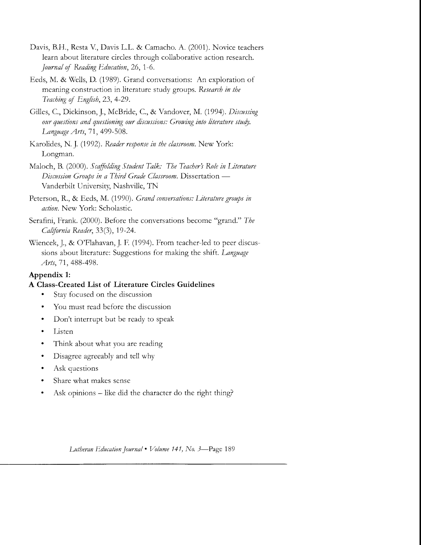- Davis, B.B., Resta v., Davis L.L. & Camacho. A. (2001). Novice teachers learn about literature circles through collaborative action research. *Journal* if *Reading Education,* 26, 1-6.
- Eeds, M. & Wells, D. (1989). Grand conversations: An exploration of meaning construction in literature study groups. *Research in the Teaching of English*, 23, 4-29.
- Gilles, C, Dickinson, J., McBride, C, & Vandover, M. (1994). *Discussing our questions and questioning our discussions: Growing into literature stu4J. Language Arls,* 71, 499-508.
- Karolides, N. J. (1992). *Reader response in the classroom.* New York: Longman.
- Maloch, B. (2000). *Scaffolding Student Talk: The Teacher's Role in Literature Discussion Groups in a Third Grade Classroom.* Dissertation — Vanderbilt University, Nashville, TN
- Peterson, R., & Eeds, M. (1990). *Grand conversations: Literature groups in action.* New York: Scholastic.
- Serafini, Frank. (2000). Before the conversations become "grand." *The California Reader,* 33(3), 19-24.
- Wiencek, J., & O'Flahavan, J. F. (1994). From teacher-led to peer discussions about literature: Suggestions for making the shift. *Language Arts,* 71, 488-498.

#### **Appendix 1:**

#### **A Class-Created List of Literature Circles Guidelines**

- Stay focused on the discussion
- You must read before the discussion
- Don't interrupt but be ready to speak
- Listen
- Think about what you are reading
- Disagree agreeably and tell why
- Ask questions
- Share what makes sense
- Ask opinions like did the character do the right thing?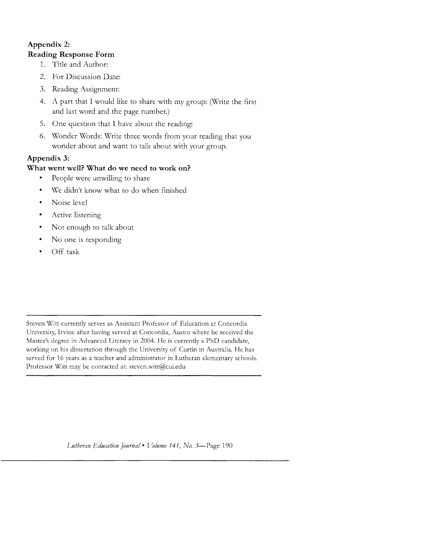#### **Appendix 2: Reading Response Form**

- 1. Tide and Author:
- 2. For Discussion Date:
- 3. Reading Assignment:
- 4. A part that I would like to share with my group: (Write the first and last word and the page number.)
- 5. One question that I have about the reading:
- 6. Wonder Words: Write three words from your reading that you wonder about and want to talk about with your group.

#### **Appendix 3:**

#### **What went well? What do we need to work on?**

- People were unwilling to share
- We didn't know what to do when finished
- Noise level
- Active listening
- Not enough to talk about
- No one is responding
- Off task

Steven Witt currently serves as Assistant Professor of Education at Concordia University, Irvine after having served at Concordia, Austin where he received the Master's degree in Advanced Literacy in 2004. He is currently a PhD candidate, working on his dissertation through the University of Curtin in Australia. He has served for 16 years as a teacher and administrator in Lutheran elementary schools. Professor Witt may be contacted at: steven.witt@cui.edu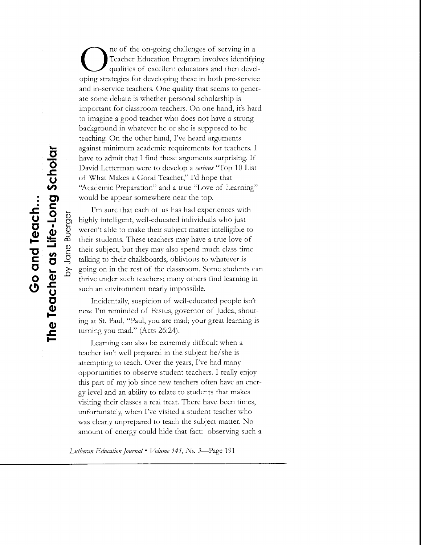The of the on-going challenges of serving in a<br>Teacher Education Program involves identifying a straight of availant educators and then days Teacher Education Program involves identifying qualities of excellent educators and then developing strategies for developing these in both pre-service and in-service teachers. One quality that seems to generate some debate is whether personal scholarship is important for classroom teachers. On one hand, it's hard to imagine a good teacher who does not have a strong background in whatever he or she is supposed to be teaching. On the other hand, I've heard arguments against minimum academic requirements for teachers. I have to admit that I find these arguments surprising. If David Letterman were to develop a *serious* "Top 10 List of What Makes a Good Teacher," I'd hope that "Academic Preparation" and a true "Love of Learning" would be appear somewhere near the top.

I'm sure that each of us has had experiences with highly intelligent, well-educated individuals who just weren't able to make their subject matter intelligible to their students. These teachers may have a true love of their subject, but they may also spend much class time talking to their chalkboards, oblivious to whatever is going on in the rest of the classroom. Some students can thrive under such teachers; many others find learning in such an environment nearly impossible.

Incidentally, suspicion of well-educated people isn't new. I'm reminded of Festus, governor of Judea, shouting at St. Paul, "Paul, you are mad; your great learning is turning you mad." (Acts 26:24).

Learning can also be extremely difficult when a teacher isn't well prepared in the subject he/she is attempting to teach. Over the years, I've had many opportunities to observe student teachers. I really enjoy this part of my job since new teachers often have an energy level and an ability to relate to students that makes visiting their classes a real treat. There have been times, unfortunately, when I've visited a student teacher who was clearly unprepared to teach the subject matter. No amount of energy could hide that fact: observing such a

*Lutheran EducationJournal- Volume* 141, No.3-Page 191

# The Teacher as Life-Long Scholar Go and Teach...

by Jane Buerger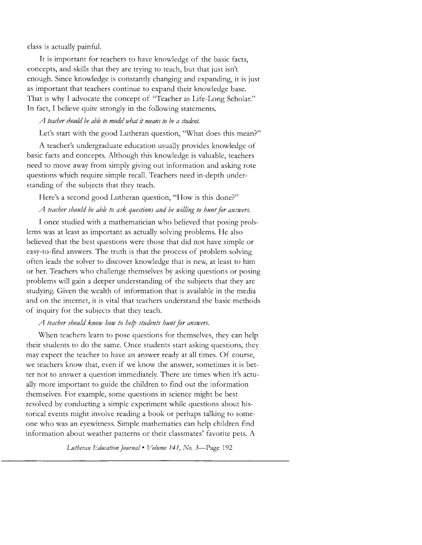class is actually painfuL

It is important for teachers to have knowledge of the basic facts, concepts, and skills that they are trying to teach, but that just isn't enough. Since knowledge is constantly changing and expanding, it is just as important that teachers continue to expand their knowledge base. That is why I advocate the concept of "Teacher as Life-Long Scholar." In fact, I believe quite strongly in the following statements.

#### *A teacher should be able to model what it means to be a student*

Let's start with the good Lutheran question, "What does this mean?"

A teacher's undergraduate education usually provides knowledge of basic facts and concepts. Although this knowledge is valuable, teachers need to move away from simply giving out information and asking rote questions which require simple recall. Teachers need in-depth understanding of the subjects that they teach.

Here's a second good Lutheran question, "How is this done?"

#### *A teacher should be able to ask questions and be willing to hunt for answers.*

I once studied with a mathematician who believed that posing problems was at least as important as actually solving problems. He also believed that the best questions were those that did not have simple or easy-to-find answers. The truth is that the process of problem solving often leads the solver to discover knowledge that is new, at least to him or her. Teachers who challenge themselves by asking questions or posing problems will gain a deeper understanding of the subjects that they are studying. Given the wealth of information that is available in the media and on the internet, it is vital that teachers understand the basic methods of inquiry for the subjects that they teach.

#### *A teacher should know how to help students hunt for answers.*

When teachers learn to pose questions for themselves, they can help their students to do the same. Once students start asking questions, they may expect the teacher to have an answer ready at all times. Of course, we teachers know that, even if we know the answer, sometimes it is better not to answer a question immediately. There are times when it's actually more important to guide the children to find out the information themselves. For example, some questions in science might be best resolved by conducting a simple experiment while questions about historical events might involve reading a book or perhaps talking to someone who was an eyewitness. Simple mathematics can help children find information about weather patterns or their classmates' favorite pets. A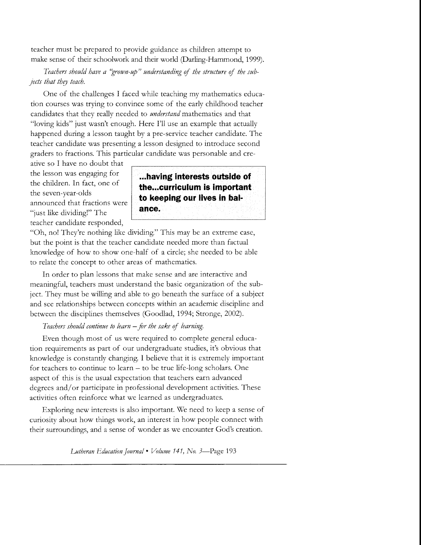teacher must be prepared to provide guidance as children attempt to make sense of their schoolwork and their world (Darling-Hammond, 1999).

Teachers should have a "grown-up" understanding of the structure of the sub*jects that they teach.* 

One of the challenges I faced while teaching my mathematics education courses was trying to convince some of the early childhood teacher candidates that they really needed to *understand* mathematics and that "loving kids" just wasn't enough. Here **I'll** use an example that actually happened during a lesson taught by a pre-service teacher candidate. The teacher candidate was presenting a lesson designed to introduce second graders to fractions. This particular candidate was personable and cre-

ative so I have no doubt that the lesson was engaging for the children. **In** fact, one of the seven-year-olds announced that fractions were "just like dividing!" The teacher candidate responded,

... having interests outside of the...curriculum is important to keeping our lives in balance.

"Oh, no! They're nothing like dividing." This may be an extreme case, but the point is that the teacher candidate needed more than factual knowledge of how to show one-half of a circle; she needed to be able to relate the concept to other areas of mathematics.

**In** order to plan lessons that make sense and are interactive and meaningful, teachers must understand the basic organization of the subject. They must be willing and able to go beneath the surface of a subject and see relationships between concepts within an academic discipline and between the disciplines themselves (Goodlad, 1994; Stronge, 2002).

*Teachers should continue to learn – for the sake of learning.* 

Even though most of us were required to complete general education requirements as part of our undergraduate studies, it's obvious that knowledge is constantly changing. I believe that it is extremely important for teachers to continue to learn – to be true life-long scholars. One aspect of this is the usual expectation that teachers earn advanced degrees and/or participate in professional development activities. These activities often reinforce what we learned as undergraduates.

Exploring new interests is also important. We need to keep a sense of curiosity about how things work, an interest in how people connect with their surroundings, and a sense of wonder as we encounter God's creation.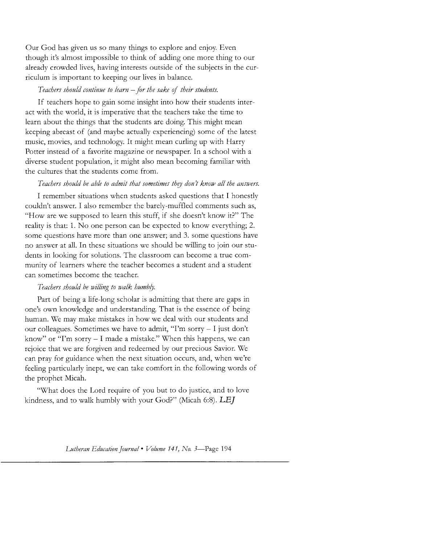Our God has given us so many things to explore and enjoy. Even though it's almost impossible to think of adding one more thing to our already crowded lives, having interests outside of the subjects in the curriculum is important to keeping our lives in balance.

#### *Teachers should continue to learn* - *for the sake* of *their students.*

If teachers hope to gain some insight into how their students interact with the world, it is imperative that the teachers take the time to learn about the things that the students are doing. This might mean keeping abreast of (and maybe actually experiencing) some of the latest music, movies, and technology. It might mean curling up with Harry Potter instead of a favorite magazine or newspaper. In a school with a diverse student population, it might also mean becoming familiar with the cultures that the students come from.

#### Teachers should be able to admit that sometimes they don't know all the answers.

I remember situations when students asked questions that I honestly couldn't answer. I also remember the barely-muffled comments such as, "How are we supposed to learn this stuff, if she doesn't know it?" The reality is that: 1. No one person can be expected to know everything; 2. some questions have more than one answer; and 3. some questions have no answer at all. In these situations we should be willing to join our students in looking for solutions. The classroom can become a true community of learners where the teacher becomes a student and a student can sometimes become the teacher.

#### *Teachers should be willing to walk humblY.*

Part of being a life-long scholar is admitting that there are gaps in one's own knowledge and understanding. That is the essence of being human. We may make mistakes in how we deal with our students and our colleagues. Sometimes we have to admit, "I'm sorry - I just don't know" or "I'm sorry - I made a mistake." When this happens, we can rejoice that we are forgiven and redeemed by our precious Savior. We can pray for guidance when the next situation occurs, and, when we're feeling particularly inept, we can take comfort in the following words of the prophet Micah.

''What does the Lord require of you but to do justice, and to love kindness, and to walk humbly with your God?" (Micah 6:8). *LEJ*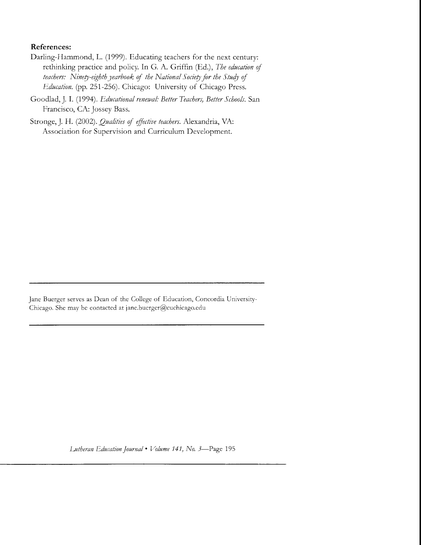#### **References:**

Darling-Hammond, L. (1999). Educating teachers for the next century: rethinking practice and policy. In G. A. Griffin (Ed.), *The education* of *teachers: Ninery-eighth yearbook* of *the National S oriery for the S tutfy* of *Education.* (pp. 251-256). Chicago: University of Chicago Press.

Goodlad, J. I. (1994). *Educational renewal: Better Teachers, Better Schools.* San Francisco, CA: Jossey Bass.

Stronge, J. H. (2002). *Qualities of effective teachers*. Alexandria, VA: Association for Supervision and Curriculum Development.

Jane Buerger serves as Dean of the College of Education, Concordia University-Chicago. She may be contacted at jane.buerger@cuchicago.edu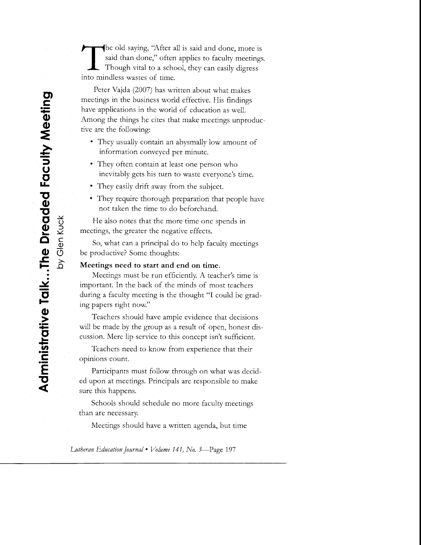The old saying, "After all is said and done, more is said than done," often applies to faculty meetings. Though vital to a school, they can easily digress into mindless wastes of time.

Peter Vajda (2007) has written about what makes meetings in the business world effective. His findings have applications in the world of education as well. Among the things he cites that make meetings unproductive are the following:

- They usually contain an abysmally low amount of information conveyed per minute.
- They often contain at least one person who inevitably gets his turn to waste everyone's time.
- They easily drift away from the subject.
- They require thorough preparation that people have not taken the time to do beforehand.

He also notes that the more time one spends in meetings, the greater the negative effects.

So, what can a principal do to help faculty meetings be productive? Some thoughts:

#### Meetings **need** to start **and end on** time.

Meetings must be run efficiendy. A teacher's time is important. In the back of the minds of most teachers during a faculty meeting is the thought "I could be grading papers right now."

Teachers should have ample evidence that decisions will be made by the group as a result of open, honest discussion. Mere lip service to this concept isn't sufficient.

Teachers need to know from experience that their opinions count.

Participants must follow through on what was decided upon at meetings. Principals are responsible to make sure this happens.

Schools should schedule no more faculty meetings than are necessary.

Meetings should have a written agenda, but time

by Glen Kuck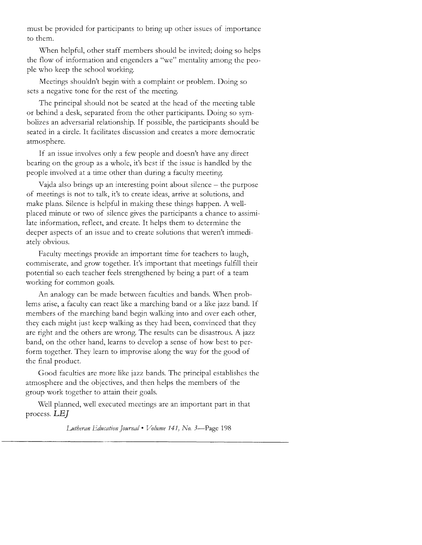must be provided for participants to bring up other issues of importance to them.

When helpful, other staff members should be invited; doing so helps the flow of information and engenders a "we" mentality among the people who keep the school working.

Meetings shouldn't begin with a complaint or problem. Doing so sets a negative tone for the rest of the meeting.

The principal should not be seated at the head of the meeting table or behind a desk, separated from the other participants. Doing so symbolizes an adversarial relationship. If possible, the participants should be seated in a circle. It facilitates discussion and creates a more democratic atmosphere.

If an issue involves only a few people and doesn't have any direct bearing on the group as a whole, it's best if the issue is handled by the people involved at a time other than during a faculty meeting.

Vajda also brings up an interesting point about silence  $-$  the purpose of meetings is not to talk, it's to create ideas, arrive at solutions, and make plans. Silence is helpful in making these things happen. A wellplaced minute or two of silence gives the participants a chance to assimilate information, reflect, and create. It helps them to determine the deeper aspects of an issue and to create solutions that weren't immediately obvious.

Faculty meetings provide an important time for teachers to laugh, commiserate, and grow together. It's important that meetings fulfill their potential so each teacher feels strengthened by being a part of a team working for common goals.

An analogy can be made between faculties and bands. When problems arise, a faculty can react like a marching band or a like jazz band. If members of the marching band begin walking into and over each other, they each might just keep walking as they had been, convinced that they are right and the others are wrong. The results can be disastrous. A jazz band, on the other hand, learns to develop a sense of how best to perform together. They learn to improvise along the way for the good of the final product.

Good faculties are more like jazz bands. The principal establishes the atmosphere and the objectives, and then helps the members of the group work together to attain their goals.

Well planned, well executed meetings are an important part in that process. *LEJ*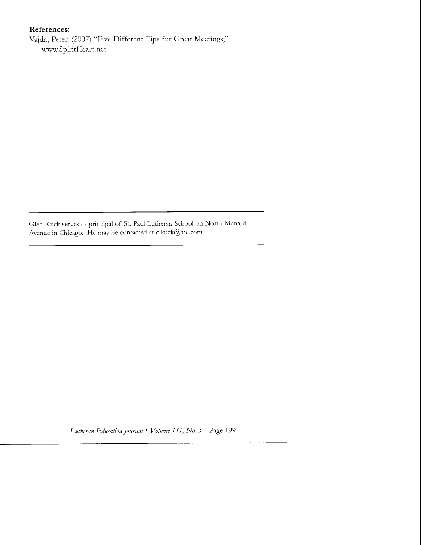#### **References:**

Vajda, Peter. (2007) "Five Different Tips for Great Meetings," www.SpiritHeart.net

Glen Kuck serves as principal of St. Paul Lutheran School on North Menard Avenue in Chicago. He may be contacted at clkuck@aol.com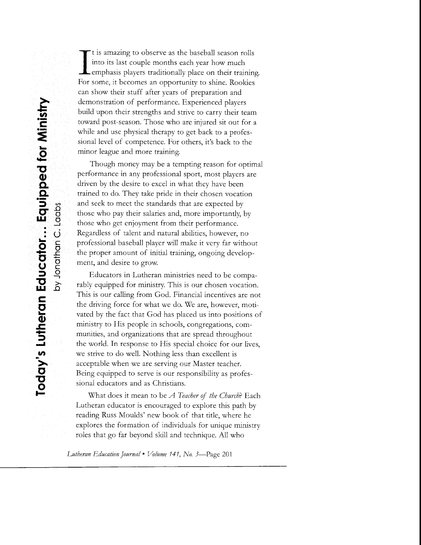It is amazing to observe as the baseball season rolls into its last couple months each year how much emphasis players traditionally place on their training. For some, it becomes an opportunity to shine. Rookies can show their stuff after years of preparation and demonstration of performance. Experienced players build upon their strengths and strive to carry their team toward post-season. Those who are injured sit out for a while and use physical therapy to get back to a professional level of competence. For others, it's back to the minor league and more training.

Though money may be a tempting reason for optimal performance in any professional sport, most players are driven by the desire to excel in what they have been trained to do. They take pride in their chosen vocation and seek to meet the standards that are expected by those who pay their salaries and, more importantly, by those who get enjoyment from their performance. Regardless of talent and natural abilities, however, no professional baseball player will make it very far without the proper amount of initial training, ongoing development, and desire to grow.

Educators in Lutheran ministries need to be comparably equipped for ministry. This is our chosen vocation. This is our calling from God. Financial incentives are not the driving force for what we do. We are, however, motivated by the fact that God has placed us into positions of ministry to His people in schools, congregations, communities, and organizations that are spread throughout the world. In response to His special choice for our lives, we strive to do well. Nothing less than excellent is acceptable when we are serving our Master teacher. Being equipped to serve is our responsibility as professional educators and as Christians.

What does it mean to be *A Teacher if the Church?* Each Lutheran educator is encouraged to explore this path by reading Russ Moulds' new book of that title, where he explores the formation of individuals for unique ministry roles that go far beyond skill and technique. All who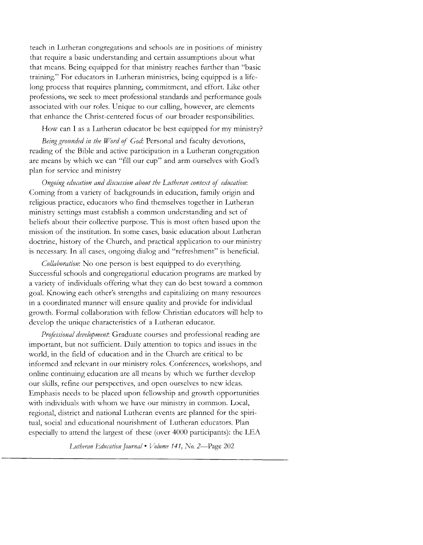teach in Lutheran congregations and schools are in positions of ministry that require a basic understanding and certain assumptions about what that means. Being equipped for that ministry reaches further than "basic training." For educators in Lutheran ministries, being equipped is a lifelong process that requires planning, commitment, and effort. Like other professions, we seek to meet professional standards and performance goals associated with our roles. Unique to our calling, however, are elements that enhance the Christ-centered focus of our broader responsibilities.

How can I as a Lutheran educator be best equipped for my ministry?

*Being grounded in the Word* of *God:* Personal and faculty devotions, reading of the Bible and active participation in a Lutheran congregation are means by which we can "fill our cup" and arm ourselves with God's plan for service and ministry

*Ongoing education and discussion about the Lutheran context* of *education:*  Coming from a variety of backgrounds in education, family origin and religious practice, educators who find themselves together in Lutheran ministry settings must establish a common understanding and set of beliefs about their collective purpose. This is most often based upon the mission of the institution. **In** some cases, basic education about Lutheran doctrine, history of the Church, and practical application to our ministry is necessary. **In** all cases, ongoing dialog and "refreshment" is beneficial.

*Collaboration:* No one person is best equipped to do everything. Successful schools and congregational education programs are marked by a variety of individuals offering what they can do best toward a common goal. Knowing each other's strengths and capitalizing on many resources in a coordinated manner will ensure quality and provide for individual growth. Formal collaboration with fellow Christian educators will help to develop the unique characteristics of a Lutheran educator.

*Professional development.* Graduate courses and professional reading are important, but not sufficient. Daily attention to topics and issues in the world, in the field of education and in the Church are critical to be informed and relevant in our ministry roles. Conferences, workshops, and online continuing education are all means by which we further develop our skills, refine our perspectives, and open ourselves to new ideas. Emphasis needs to be placed upon fellowship and growth opportunities with individuals with whom we have our ministry in common. Local, regional, district and national Lutheran events are planned for the spiritual, social and educational nourishment of Lutheran educators. Plan especially to attend the largest of these (over 4000 participants): the LEA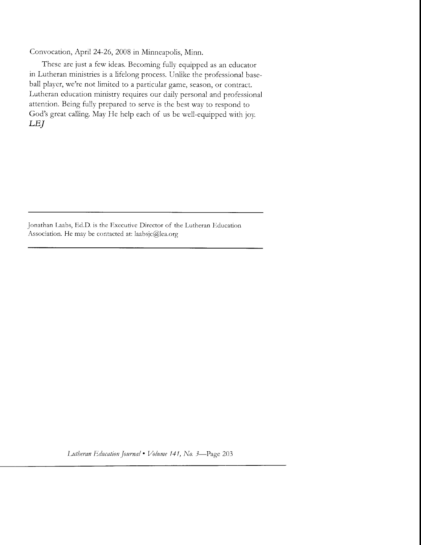Convocation, April 24-26, 2008 in Minneapolis, Minn.

These are just a few ideas. Becoming fully equipped as an educator in Lutheran ministries is a lifelong process. Unlike the professional baseball player, we're not limited to a particular game, season, or contract. Lutheran education ministry requires our daily personal and professional attention. Being fully prepared to serve is the best way to respond to God's great calling. May He help each of us be well-equipped with joy. *LEJ* 

Jonathan Laabs, Ed.D. is the Executive Director of the Lutheran Education Association. He may be contacted at: laabsjc@lea.org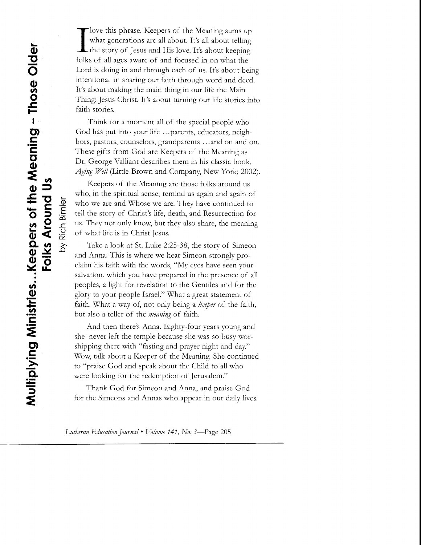Rich Bimler

 $\overline{\widetilde{\Omega}}$ 

The love this phrase. Keepers of the Meaning sums up what generations are all about. It's all about telling the story of Jesus and His love. It's about keeping folks of all ages aware of and focused in on what the Lord is doing in and through each of us. It's about being intentional in sharing our faith through word and deed. It's about making the main thing in our life the Main Thing: Jesus Christ. It's about turning our life stories into faith stories.

Think for a moment all of the special people who God has put into your life ... parents, educators, neighbors, pastors, counselors, grandparents ... and on and on. These gifts from God are Keepers of the Meaning as Dr. George Valliant describes them in his classic book, *Aging Well* (Little Brown and Company, New York; 2002).

Keepers of the Meaning are those folks around us who, in the spiritual sense, remind us again and again of who we are and Whose we are. They have continued to tell the story of Christ's life, death, and Resurrection for us. They not only know, but they also share, the meaning of what life is in Christ Jesus.

Take a look at St. Luke 2:25-38, the story of Simeon and Anna. This is where we hear Simeon strongly proclaim his faith with the words, "My eyes have seen your salvation, which you have prepared in the presence of all peoples, a light for revelation to the Gentiles and for the glory to your people Israel." What a great statement of faith. What a way of, not only being a *keeper* of the faith, but also a teller of the *meaning* of faith.

And then there's Anna. Eighty-four years young and she never left the temple because she was so busy worshipping there with "fasting and prayer night and day." Wow, talk about a Keeper of the Meaning. She continued to "praise God and speak about the Child to all who were looking for the redemption of Jerusalem."

Thank God for Simeon and Anna, and praise God for the Simeons and Annas who appear in our daily lives.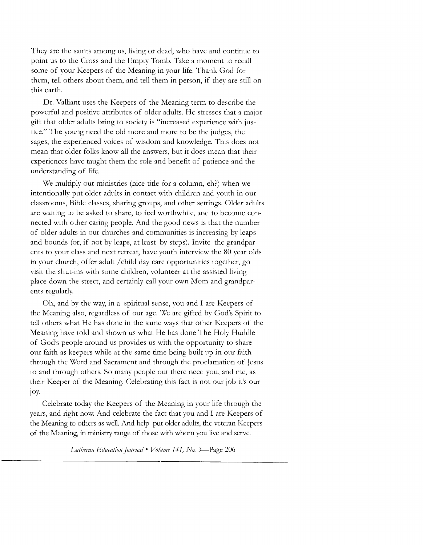They are the saints among us, living or dead, who have and continue to point us to the Cross and the Empty Tomb. Take a moment to recall some of your Keepers of the Meaning in your life. Thank God for them, tell others about them, and tell them in person, if they are still on this earth.

Dr. Valliant uses the Keepers of the Meaning term to describe the powerful and positive attributes of older adults. He stresses that a major gift that older adults bring to society is "increased experience with justice." The young need the old more and more to be the judges, the sages, the experienced voices of wisdom and knowledge. This does not mean that older folks know all the answers, but it does mean that their experiences have taught them the role and benefit of patience and the understanding of life.

We multiply our ministries (nice title for a column, eh?) when we intentionally put older adults in contact with children and youth in our classrooms, Bible classes, sharing groups, and other settings. Older adults are waiting to be asked to share, to feel worthwhile, and to become connected with other caring people. And the good news is that the number of older adults in our churches and communities is increasing by leaps and bounds (or, if not by leaps, at least by steps). Invite the grandparents to your class and next retreat, have youth interview the 80 year olds in your church, offer adult / child day care opportunities together, go visit the shut-ins with some children, volunteer at the assisted living place down the street, and certainly call your own Mom and grandparents regularly.

Oh, and by the way, in a spiritual sense, you and I are Keepers of the Meaning also, regardless of our age. We are gifted by God's Spirit to tell others what He has done in the same ways that other Keepers of the Meaning have told and shown us what He has done The Holy Huddle of God's people around us provides us with the opportunity to share our faith as keepers while at the same time being built up in our faith through the Word and Sacrament and through the proclamation of Jesus to and through others. So many people out there need you, and me, as their Keeper of the Meaning. Celebrating this fact is not our job it's our joy.

Celebrate today the Keepers of the Meaning in your life through the years, and right now. And celebrate the fact that you and I are Keepers of the Meaning to others as well. And help put older adults, the veteran Keepers of the Meaning, in ministry range of those with whom you live and serve.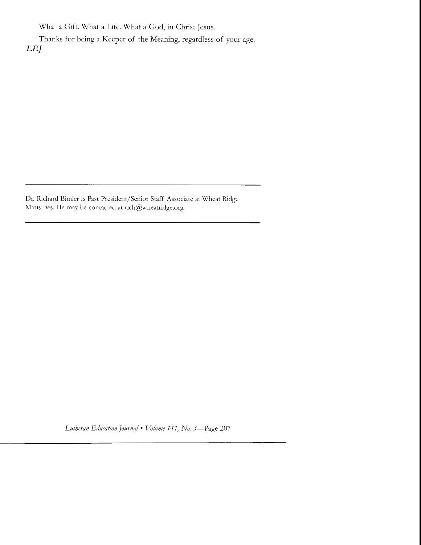What a Gift. What a Life. What a God, in Christ Jesus.

Thanks for being a Keeper of the Meaning, regardless of your age.

*LEJ* 

Dr. Richard Birnler is Past President/Senior Staff Associate at Wheat Ridge Ministries. He may be contacted at rich@wheatridge.org.